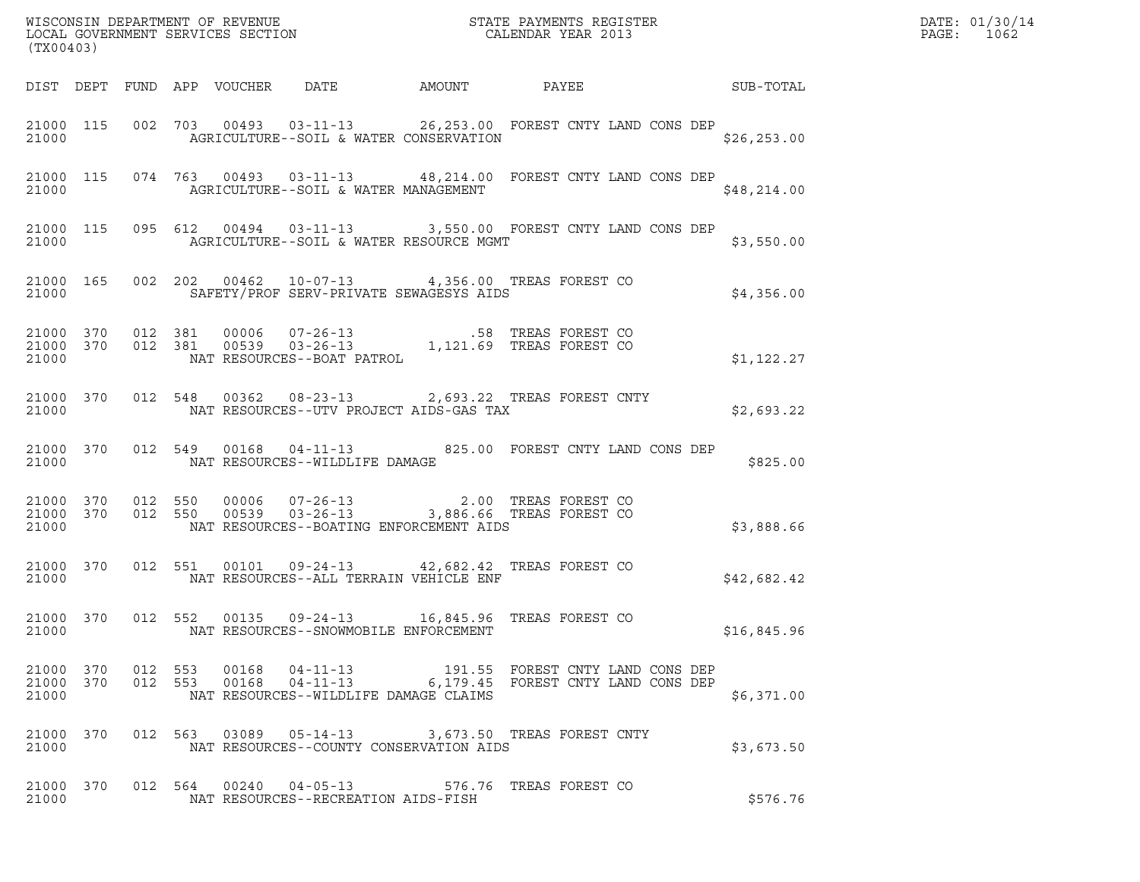| (TX00403)          |                   |  |                                      |                                         | WISCONSIN DEPARTMENT OF REVENUE<br>LOCAL GOVERNMENT SERVICES SECTION<br>CALENDAR YEAR 2013                                                                                                                                   |  | DATE: 01/30/14<br>PAGE: 1062 |  |
|--------------------|-------------------|--|--------------------------------------|-----------------------------------------|------------------------------------------------------------------------------------------------------------------------------------------------------------------------------------------------------------------------------|--|------------------------------|--|
|                    |                   |  |                                      |                                         |                                                                                                                                                                                                                              |  |                              |  |
| 21000              |                   |  |                                      | AGRICULTURE--SOIL & WATER CONSERVATION  | 21000 115 002 703 00493 03-11-13 26,253.00 FOREST CNTY LAND CONS DEP                                                                                                                                                         |  | \$26, 253.00                 |  |
| 21000              |                   |  |                                      | AGRICULTURE--SOIL & WATER MANAGEMENT    | 21000 115 074 763 00493 03-11-13 48,214.00 FOREST CNTY LAND CONS DEP                                                                                                                                                         |  | \$48,214.00                  |  |
| 21000              |                   |  |                                      | AGRICULTURE--SOIL & WATER RESOURCE MGMT | 21000 115 095 612 00494 03-11-13 3,550.00 FOREST CNTY LAND CONS DEP                                                                                                                                                          |  | \$3,550.00                   |  |
| 21000              |                   |  |                                      |                                         | 21000 165 002 202 00462 10-07-13 4,356.00 TREAS FOREST CO<br>SAFETY/PROF SERV-PRIVATE SEWAGESYS AIDS                                                                                                                         |  | \$4,356.00                   |  |
|                    |                   |  |                                      |                                         | $\begin{tabular}{cccc} 21000 & 370 & 012 & 381 & 00006 & 07-26-13 & .58 TREAS FOREST CO \\ 21000 & 370 & 012 & 381 & 00539 & 03-26-13 & 1,121.69 TREAS FOREST CO \\ 21000 & \text{NAT RESOURCES--BOAT PARTROL \end{tabular}$ |  | \$1,122.27                   |  |
|                    |                   |  |                                      |                                         | 21000 370 012 548 00362 08-23-13 2,693.22 TREAS FOREST CNTY<br>21000 NAT RESOURCES--UTV PROJECT AIDS-GAS TAX                                                                                                                 |  | \$2,693.22                   |  |
|                    |                   |  | 21000 NAT RESOURCES--WILDLIFE DAMAGE |                                         | 21000 370 012 549 00168 04-11-13 825.00 FOREST CNTY LAND CONS DEP                                                                                                                                                            |  | \$825.00                     |  |
| 21000 370<br>21000 | 21000 370 012 550 |  |                                      | NAT RESOURCES--BOATING ENFORCEMENT AIDS | 012 550 00006 07-26-13 2.00 TREAS FOREST CO<br>012 550 00539 03-26-13 3,886.66 TREAS FOREST CO                                                                                                                               |  | \$3,888.66                   |  |
| 21000              |                   |  |                                      | NAT RESOURCES--ALL TERRAIN VEHICLE ENF  | 21000 370 012 551 00101 09-24-13 42,682.42 TREAS FOREST CO                                                                                                                                                                   |  | \$42,682.42                  |  |
| 21000              |                   |  |                                      | NAT RESOURCES--SNOWMOBILE ENFORCEMENT   | 21000 370 012 552 00135 09-24-13 16,845.96 TREAS FOREST CO                                                                                                                                                                   |  | \$16,845.96                  |  |
| 21000              |                   |  |                                      | NAT RESOURCES--WILDLIFE DAMAGE CLAIMS   | $\begin{array}{cccccccc} 21000& 370& 012& 553& 00168& 04-11-13& & & 191.55& \text{FOREST CNTY LAND CONS DEP} \\ 21000& 370& 012& 553& 00168& 04-11-13& & & 6,179.45& \text{FOREST CNTY LAND CONS DEP} \end{array}$           |  | \$6,371.00                   |  |
| 21000              |                   |  |                                      | NAT RESOURCES--COUNTY CONSERVATION AIDS | 21000 370 012 563 03089 05-14-13 3,673.50 TREAS FOREST CNTY                                                                                                                                                                  |  | \$3,673.50                   |  |
| 21000              |                   |  | NAT RESOURCES--RECREATION AIDS-FISH  |                                         | 21000 370 012 564 00240 04-05-13 576.76 TREAS FOREST CO                                                                                                                                                                      |  | \$576.76                     |  |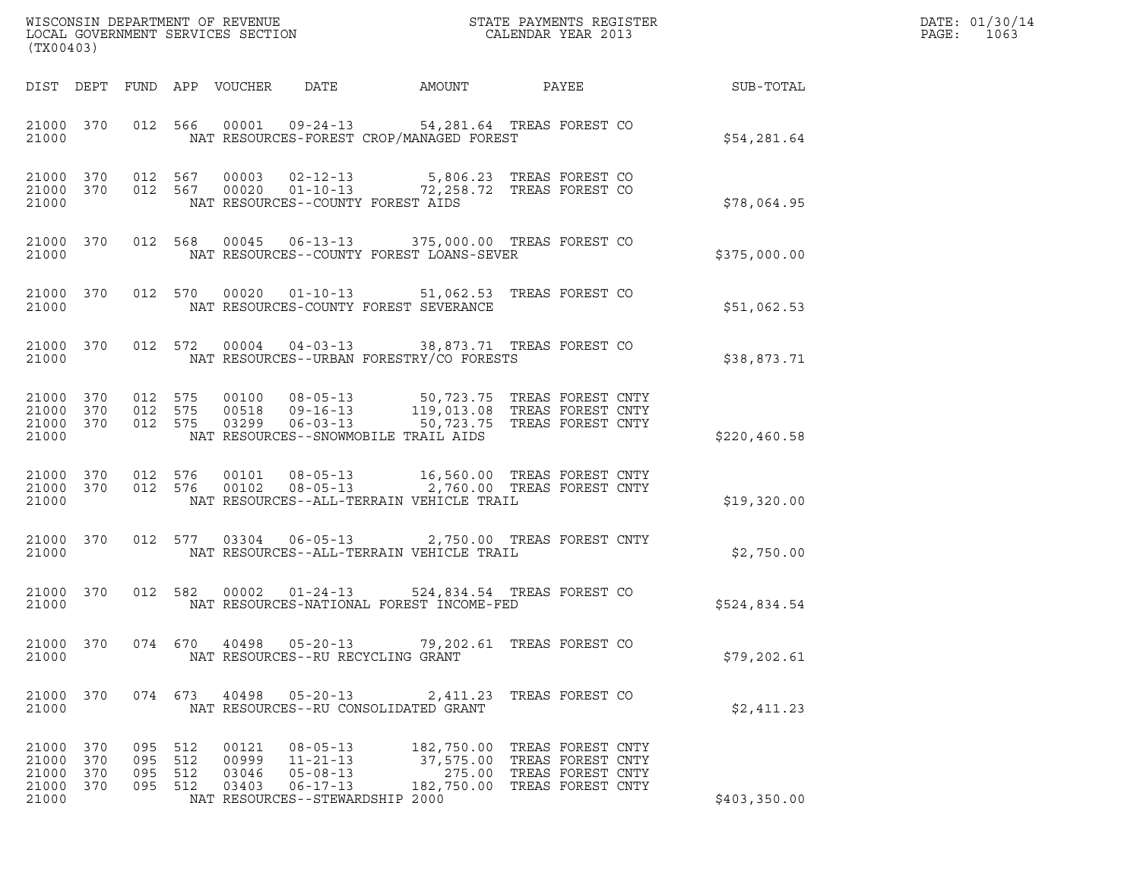| WISCONSIN DEPARTMENT OF REVENUE   | STATE PAYMENTS REGISTER | DATE: 01/30/14 |
|-----------------------------------|-------------------------|----------------|
| LOCAL GOVERNMENT SERVICES SECTION | CALENDAR YEAR 2013      | PAGE:<br>1063  |

| (TX00403)                                 |                          |                          |                          | WISCONSIN DEPARTMENT OF REVENUE<br>LOCAL GOVERNMENT SERVICES SECTION |                                                                                                                                |                                                                                            | STATE PAYMENTS REGISTER<br>CALENDAR YEAR 2013 |               |
|-------------------------------------------|--------------------------|--------------------------|--------------------------|----------------------------------------------------------------------|--------------------------------------------------------------------------------------------------------------------------------|--------------------------------------------------------------------------------------------|-----------------------------------------------|---------------|
| DIST                                      | DEPT                     | FUND                     | APP                      | VOUCHER                                                              | DATE                                                                                                                           | AMOUNT                                                                                     | PAYEE                                         | SUB-TOTAL     |
| 21000 370<br>21000                        |                          | 012                      | 566                      | 00001                                                                | 09-24-13 54,281.64 TREAS FOREST CO<br>NAT RESOURCES-FOREST CROP/MANAGED FOREST                                                 |                                                                                            |                                               | \$54,281.64   |
| 21000 370<br>21000<br>21000               | 370                      | 012 567<br>012           | 567                      |                                                                      | 00003  02-12-13  5,806.23  TREAS FOREST CO<br>00020  01-10-13  72,258.72  TREAS FOREST CO<br>NAT RESOURCES--COUNTY FOREST AIDS |                                                                                            |                                               | \$78,064.95   |
| 21000<br>21000                            | 370                      | 012                      | 568                      |                                                                      | 00045  06-13-13  375,000.00  TREAS FOREST CO<br>NAT RESOURCES--COUNTY FOREST LOANS-SEVER                                       |                                                                                            |                                               | \$375,000.00  |
| 21000<br>21000                            | 370                      | 012                      | 570                      | 00020                                                                | $01 - 10 - 13$ 51,062.53<br>NAT RESOURCES-COUNTY FOREST SEVERANCE                                                              |                                                                                            | TREAS FOREST CO                               | \$51,062.53   |
| 21000<br>21000                            | 370                      | 012                      | 572                      | 00004                                                                | $04 - 03 - 13$<br>NAT RESOURCES--URBAN FORESTRY/CO FORESTS                                                                     | 38,873.71 TREAS FOREST CO                                                                  |                                               | \$38,873.71   |
| 21000<br>21000<br>21000<br>21000          | 370<br>370<br>370        | 012<br>012<br>012 575    | 575<br>575               | 00100<br>00518<br>03299                                              | $08 - 05 - 13$<br>$09 - 16 - 13$<br>$06 - 03 - 13$<br>NAT RESOURCES--SNOWMOBILE TRAIL AIDS                                     | 50,723.75 TREAS FOREST CNTY<br>119,013.08 TREAS FOREST CNTY<br>50,723.75 TREAS FOREST CNTY |                                               | \$220, 460.58 |
| 21000<br>21000<br>21000                   | 370<br>370               | 012<br>012               | 576<br>576               | 00101<br>00102                                                       | $08 - 05 - 13$<br>$08 - 05 - 13$<br>NAT RESOURCES--ALL-TERRAIN VEHICLE TRAIL                                                   | 16,560.00 TREAS FOREST CNTY<br>2,760.00 TREAS FOREST CNTY                                  |                                               | \$19,320.00   |
| 21000<br>21000                            | 370                      | 012                      | 577                      | 03304                                                                | $06 - 05 - 13$<br>NAT RESOURCES--ALL-TERRAIN VEHICLE TRAIL                                                                     | 2,750.00 TREAS FOREST CNTY                                                                 |                                               | \$2,750.00    |
| 21000<br>21000                            | 370                      | 012                      | 582                      | 00002                                                                | $01 - 24 - 13$<br>NAT RESOURCES-NATIONAL FOREST INCOME-FED                                                                     | 524,834.54 TREAS FOREST CO                                                                 |                                               | \$524,834.54  |
| 21000<br>21000                            | 370                      | 074                      | 670                      | 40498                                                                | $05 - 20 - 13$<br>NAT RESOURCES--RU RECYCLING GRANT                                                                            | 79,202.61 TREAS FOREST CO                                                                  |                                               | \$79,202.61   |
| 21000 370<br>21000                        |                          |                          |                          | 074 673 40498                                                        | 05-20-13 2,411.23 TREAS FOREST CO<br>NAT RESOURCES--RU CONSOLIDATED GRANT                                                      |                                                                                            |                                               | \$2,411.23    |
| 21000<br>21000<br>21000<br>21000<br>21000 | 370<br>370<br>370<br>370 | 095<br>095<br>095<br>095 | 512<br>512<br>512<br>512 | 00121<br>00999<br>03046<br>03403                                     | $08 - 05 - 13$<br>11-21-13<br>05-08-13<br>06-17-13 182,750.00<br>NAT RESOURCES--STEWARDSHIP 2000                               | 182,750.00 TREAS FOREST CNTY<br>37,575.00 TREAS FOREST CNTY<br>275.00                      | TREAS FOREST CNTY<br>TREAS FOREST CNTY        | \$403,350.00  |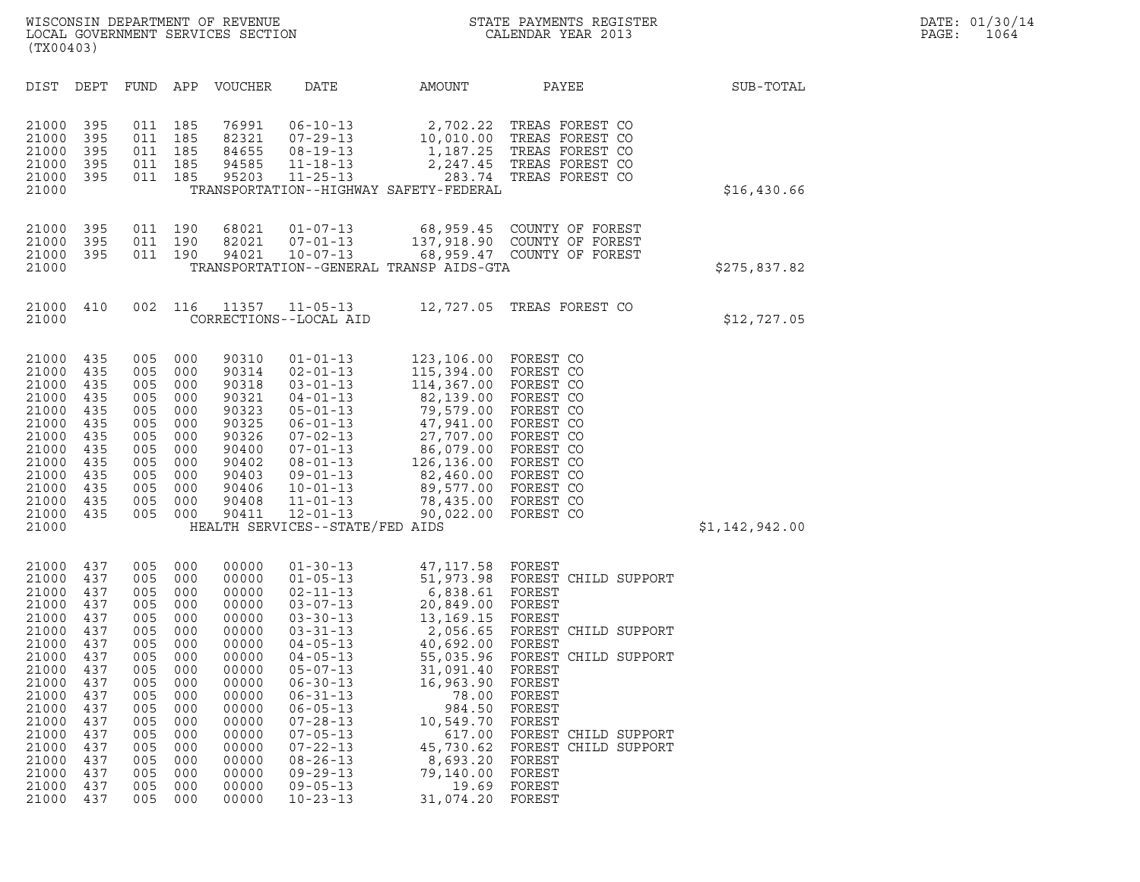| (TX00403)                                                                                                                                                               |                                                                                                                                   |                                                                                                                                   |                                                                                                                                   |                                                                                                                                                                         |                                                                                                                                                                                                                                                                                                                                                    |                                                                                                                                                                                                                                     |                                                                                                                                                                                                                                                                  |                |
|-------------------------------------------------------------------------------------------------------------------------------------------------------------------------|-----------------------------------------------------------------------------------------------------------------------------------|-----------------------------------------------------------------------------------------------------------------------------------|-----------------------------------------------------------------------------------------------------------------------------------|-------------------------------------------------------------------------------------------------------------------------------------------------------------------------|----------------------------------------------------------------------------------------------------------------------------------------------------------------------------------------------------------------------------------------------------------------------------------------------------------------------------------------------------|-------------------------------------------------------------------------------------------------------------------------------------------------------------------------------------------------------------------------------------|------------------------------------------------------------------------------------------------------------------------------------------------------------------------------------------------------------------------------------------------------------------|----------------|
| DIST                                                                                                                                                                    | DEPT                                                                                                                              | FUND                                                                                                                              | APP                                                                                                                               | VOUCHER                                                                                                                                                                 | DATE                                                                                                                                                                                                                                                                                                                                               | AMOUNT                                                                                                                                                                                                                              | PAYEE                                                                                                                                                                                                                                                            | SUB-TOTAL      |
| 21000<br>21000<br>21000<br>21000<br>21000<br>21000                                                                                                                      | 395<br>395<br>395<br>395<br>395                                                                                                   | 011<br>011<br>011<br>011<br>011                                                                                                   | 185<br>185<br>185<br>185<br>185                                                                                                   | 76991<br>82321<br>84655<br>94585<br>95203                                                                                                                               | $06 - 10 - 13$<br>$07 - 29 - 13$<br>$08 - 19 - 13$<br>$11 - 18 - 13$<br>$11 - 25 - 13$                                                                                                                                                                                                                                                             | 2,702.22<br>10,010.00<br>1,187.25<br>2,247.45<br>283.74<br>TRANSPORTATION--HIGHWAY SAFETY-FEDERAL                                                                                                                                   | TREAS FOREST CO<br>TREAS FOREST CO<br>TREAS FOREST CO<br>TREAS FOREST CO<br>TREAS FOREST CO                                                                                                                                                                      | \$16,430.66    |
| 21000<br>21000<br>21000<br>21000                                                                                                                                        | 395<br>395<br>395                                                                                                                 | 011<br>011<br>011                                                                                                                 | 190<br>190<br>190                                                                                                                 | 68021<br>82021<br>94021                                                                                                                                                 | $01 - 07 - 13$<br>$07 - 01 - 13$<br>$10 - 07 - 13$                                                                                                                                                                                                                                                                                                 | 68,959.45<br>137,918.90<br>68,959.47<br>TRANSPORTATION--GENERAL TRANSP AIDS-GTA                                                                                                                                                     | COUNTY OF FOREST<br>COUNTY OF FOREST<br>COUNTY OF FOREST                                                                                                                                                                                                         | \$275,837.82   |
| 21000<br>21000                                                                                                                                                          | 410                                                                                                                               | 002                                                                                                                               | 116                                                                                                                               | 11357                                                                                                                                                                   | $11 - 05 - 13$<br>CORRECTIONS--LOCAL AID                                                                                                                                                                                                                                                                                                           | 12,727.05                                                                                                                                                                                                                           | TREAS FOREST CO                                                                                                                                                                                                                                                  | \$12,727.05    |
| 21000<br>21000<br>21000<br>21000<br>21000<br>21000<br>21000<br>21000<br>21000<br>21000<br>21000<br>21000<br>21000<br>21000                                              | 435<br>435<br>435<br>435<br>435<br>435<br>435<br>435<br>435<br>435<br>435<br>435<br>435                                           | 005<br>005<br>005<br>005<br>005<br>005<br>005<br>005<br>005<br>005<br>005<br>005<br>005                                           | 000<br>000<br>000<br>000<br>000<br>000<br>000<br>000<br>000<br>000<br>000<br>000<br>000                                           | 90310<br>90314<br>90318<br>90321<br>90323<br>90325<br>90326<br>90400<br>90402<br>90403<br>90406<br>90408<br>90411                                                       | $01 - 01 - 13$<br>$02 - 01 - 13$<br>$03 - 01 - 13$<br>$04 - 01 - 13$<br>$05 - 01 - 13$<br>$06 - 01 - 13$<br>$07 - 02 - 13$<br>$07 - 01 - 13$<br>$08 - 01 - 13$<br>$09 - 01 - 13$<br>$10 - 01 - 13$<br>$11 - 01 - 13$<br>$12 - 01 - 13$<br>HEALTH SERVICES--STATE/FED AIDS                                                                          | 123,106.00<br>115,394.00<br>114,367.00<br>82,139.00<br>79,579.00<br>47,941.00<br>27,707.00<br>86,079.00<br>126,136.00<br>82,460.00<br>89,577.00<br>78,435.00<br>90,022.00                                                           | FOREST CO<br>FOREST CO<br>FOREST CO<br>FOREST CO<br>FOREST CO<br>FOREST CO<br>FOREST CO<br>FOREST CO<br>FOREST CO<br>FOREST CO<br>FOREST CO<br>FOREST CO<br>FOREST CO                                                                                            | \$1,142,942.00 |
| 21000<br>21000<br>21000<br>21000<br>21000<br>21000<br>21000<br>21000<br>21000<br>21000<br>21000<br>21000<br>21000<br>21000<br>21000<br>21000<br>21000<br>21000<br>21000 | 437<br>437<br>437<br>437<br>437<br>437<br>437<br>437<br>437<br>437<br>437<br>437<br>437<br>437<br>437<br>437<br>437<br>437<br>437 | 005<br>005<br>005<br>005<br>005<br>005<br>005<br>005<br>005<br>005<br>005<br>005<br>005<br>005<br>005<br>005<br>005<br>005<br>005 | 000<br>000<br>000<br>000<br>000<br>000<br>000<br>000<br>000<br>000<br>000<br>000<br>000<br>000<br>000<br>000<br>000<br>000<br>000 | 00000<br>00000<br>00000<br>00000<br>00000<br>00000<br>00000<br>00000<br>00000<br>00000<br>00000<br>00000<br>00000<br>00000<br>00000<br>00000<br>00000<br>00000<br>00000 | $01 - 30 - 13$<br>$01 - 05 - 13$<br>$02 - 11 - 13$<br>$03 - 07 - 13$<br>$03 - 30 - 13$<br>$03 - 31 - 13$<br>$04 - 05 - 13$<br>$04 - 05 - 13$<br>$05 - 07 - 13$<br>$06 - 30 - 13$<br>$06 - 31 - 13$<br>$06 - 05 - 13$<br>$07 - 28 - 13$<br>$07 - 05 - 13$<br>$07 - 22 - 13$<br>$08 - 26 - 13$<br>$09 - 29 - 13$<br>$09 - 05 - 13$<br>$10 - 23 - 13$ | 47, 117.58<br>51,973.98<br>6,838.61<br>20,849.00<br>13,169.15<br>2,056.65<br>40,692.00<br>55,035.96<br>31,091.40<br>16,963.90<br>78.00<br>984.50<br>10,549.70<br>617.00<br>45,730.62<br>8,693.20<br>79,140.00<br>19.69<br>31,074.20 | FOREST<br>FOREST CHILD SUPPORT<br>FOREST<br>FOREST<br>FOREST<br>FOREST CHILD SUPPORT<br>FOREST<br>FOREST CHILD SUPPORT<br>FOREST<br>FOREST<br>FOREST<br>FOREST<br>FOREST<br>FOREST CHILD SUPPORT<br>FOREST CHILD SUPPORT<br>FOREST<br>FOREST<br>FOREST<br>FOREST |                |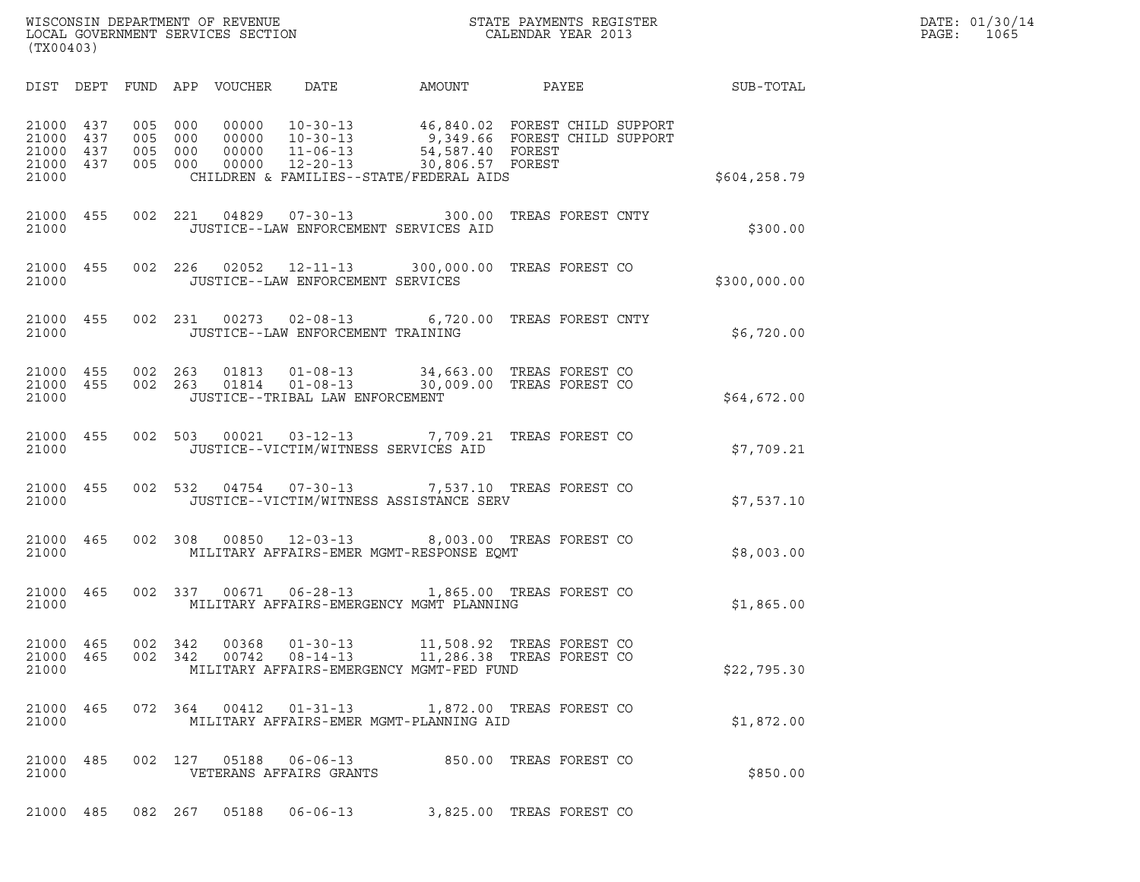| WISCONSIN DEPARTMENT OF REVENUE<br>LOCAL GOVERNMENT SERVICES SECTION<br>(TX00403) | STATE PAYMENTS REGISTER<br>CALENDAR YEAR 2013 | DATE: 01/30/14<br>PAGE:<br>1065 |
|-----------------------------------------------------------------------------------|-----------------------------------------------|---------------------------------|

| (TX00403)                                 |                          |                          |                          |                                  |                                                                      |                                                                                                                                                    |                   |  |               |  |
|-------------------------------------------|--------------------------|--------------------------|--------------------------|----------------------------------|----------------------------------------------------------------------|----------------------------------------------------------------------------------------------------------------------------------------------------|-------------------|--|---------------|--|
| DIST                                      | DEPT                     | FUND APP                 |                          | VOUCHER                          | DATE                                                                 | AMOUNT PAYEE                                                                                                                                       |                   |  | SUB-TOTAL     |  |
| 21000<br>21000<br>21000<br>21000<br>21000 | 437<br>437<br>437<br>437 | 005<br>005<br>005<br>005 | 000<br>000<br>000<br>000 | 00000<br>00000<br>00000<br>00000 | $10 - 30 - 13$<br>$10 - 30 - 13$<br>$11 - 06 - 13$<br>$12 - 20 - 13$ | 46,840.02 FOREST CHILD SUPPORT<br>9,349.66 FOREST CHILD SUPPORT<br>54,587.40 FOREST<br>30,806.57 FOREST<br>CHILDREN & FAMILIES--STATE/FEDERAL AIDS |                   |  | \$604, 258.79 |  |
| 21000<br>21000                            | 455                      | 002                      | 221                      | 04829                            | $07 - 30 - 13$<br>JUSTICE--LAW ENFORCEMENT SERVICES AID              | 300.00                                                                                                                                             | TREAS FOREST CNTY |  | \$300.00      |  |
| 21000<br>21000                            | 455                      | 002                      | 226                      | 02052                            | JUSTICE--LAW ENFORCEMENT SERVICES                                    | 12-11-13 300,000.00                                                                                                                                | TREAS FOREST CO   |  | \$300,000.00  |  |
| 21000<br>21000                            | 455                      | 002                      | 231                      | 00273                            | JUSTICE--LAW ENFORCEMENT TRAINING                                    | 02-08-13 6,720.00 TREAS FOREST CNTY                                                                                                                |                   |  | \$6,720.00    |  |
| 21000<br>21000<br>21000                   | 455<br>455               | 002<br>002               | 263<br>263               | 01813<br>01814                   | $01 - 08 - 13$<br>$01 - 08 - 13$<br>JUSTICE--TRIBAL LAW ENFORCEMENT  | 34,663.00 TREAS FOREST CO<br>30,009.00 TREAS FOREST CO                                                                                             |                   |  | \$64,672.00   |  |
| 21000<br>21000                            | 455                      | 002                      | 503                      | 00021                            | $03 - 12 - 13$<br>JUSTICE--VICTIM/WITNESS SERVICES AID               | 7,709.21 TREAS FOREST CO                                                                                                                           |                   |  | \$7,709.21    |  |
| 21000<br>21000                            | 455                      | 002                      | 532                      | 04754                            | $07 - 30 - 13$                                                       | 7,537.10 TREAS FOREST CO<br>JUSTICE--VICTIM/WITNESS ASSISTANCE SERV                                                                                |                   |  | \$7,537.10    |  |
| 21000<br>21000                            | 465                      | 002                      | 308                      | 00850                            |                                                                      | 12-03-13 8,003.00 TREAS FOREST CO<br>MILITARY AFFAIRS-EMER MGMT-RESPONSE EQMT                                                                      |                   |  | \$8,003.00    |  |
| 21000<br>21000                            | 465                      | 002                      | 337                      | 00671                            |                                                                      | 06-28-13 1,865.00 TREAS FOREST CO<br>MILITARY AFFAIRS-EMERGENCY MGMT PLANNING                                                                      |                   |  | \$1,865.00    |  |
| 21000<br>21000<br>21000                   | 465<br>465               | 002<br>002               | 342<br>342               | 00368<br>00742                   | $08 - 14 - 13$                                                       | 01-30-13 11,508.92 TREAS FOREST CO<br>11,286.38 TREAS FOREST CO<br>MILITARY AFFAIRS-EMERGENCY MGMT-FED FUND                                        |                   |  | \$22,795.30   |  |
| 21000<br>21000                            | 465                      |                          | 072 364                  | 00412                            | $01 - 31 - 13$                                                       | 1,872.00 TREAS FOREST CO<br>MILITARY AFFAIRS-EMER MGMT-PLANNING AID                                                                                |                   |  | \$1,872.00    |  |
| 21000<br>21000                            | 485                      | 002                      | 127                      | 05188                            | $06 - 06 - 13$<br>VETERANS AFFAIRS GRANTS                            | 850.00 TREAS FOREST CO                                                                                                                             |                   |  | \$850.00      |  |
|                                           |                          |                          |                          |                                  |                                                                      |                                                                                                                                                    |                   |  |               |  |

21000 485 082 267 05188 06-06-13 3,825.00 TREAS FOREST CO

(TX00403)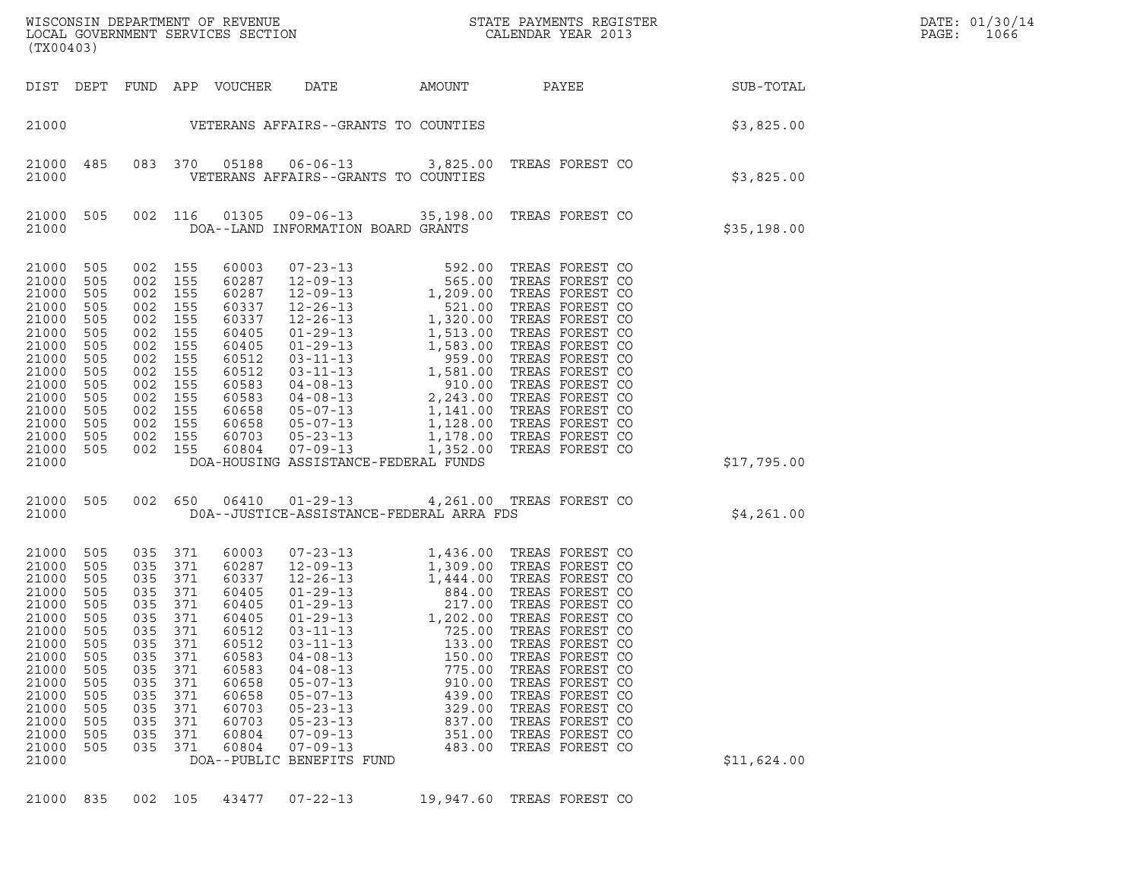| (TX00403)                                                                                                                                             |                                                                                                              |                                                                                                                                       |                                                                                                              |                                                                                                                                              |                                                                                                                                                                                                                                                                                                                           |                                                                                                                                                                      |                                                                                                                                                                                                                                                                                                              |           |             | DATE: 01/30/14<br>PAGE:<br>1066 |
|-------------------------------------------------------------------------------------------------------------------------------------------------------|--------------------------------------------------------------------------------------------------------------|---------------------------------------------------------------------------------------------------------------------------------------|--------------------------------------------------------------------------------------------------------------|----------------------------------------------------------------------------------------------------------------------------------------------|---------------------------------------------------------------------------------------------------------------------------------------------------------------------------------------------------------------------------------------------------------------------------------------------------------------------------|----------------------------------------------------------------------------------------------------------------------------------------------------------------------|--------------------------------------------------------------------------------------------------------------------------------------------------------------------------------------------------------------------------------------------------------------------------------------------------------------|-----------|-------------|---------------------------------|
| DIST DEPT                                                                                                                                             |                                                                                                              |                                                                                                                                       |                                                                                                              | FUND APP VOUCHER                                                                                                                             | DATE<br>AMOUNT                                                                                                                                                                                                                                                                                                            |                                                                                                                                                                      | PAYEE                                                                                                                                                                                                                                                                                                        | SUB-TOTAL |             |                                 |
| 21000                                                                                                                                                 |                                                                                                              |                                                                                                                                       |                                                                                                              |                                                                                                                                              | VETERANS AFFAIRS--GRANTS TO COUNTIES                                                                                                                                                                                                                                                                                      |                                                                                                                                                                      |                                                                                                                                                                                                                                                                                                              |           | \$3,825.00  |                                 |
| 21000 485<br>21000                                                                                                                                    |                                                                                                              |                                                                                                                                       | 083 370                                                                                                      | 05188                                                                                                                                        | 06-06-13 3,825.00 TREAS FOREST CO<br>VETERANS AFFAIRS--GRANTS TO COUNTIES                                                                                                                                                                                                                                                 |                                                                                                                                                                      |                                                                                                                                                                                                                                                                                                              |           | \$3,825.00  |                                 |
| 21000 505<br>21000                                                                                                                                    |                                                                                                              |                                                                                                                                       | 002 116                                                                                                      | 01305                                                                                                                                        | $09 - 06 - 13$<br>DOA--LAND INFORMATION BOARD GRANTS                                                                                                                                                                                                                                                                      |                                                                                                                                                                      | 35,198.00 TREAS FOREST CO                                                                                                                                                                                                                                                                                    |           | \$35,198.00 |                                 |
| 21000<br>21000<br>21000<br>21000<br>21000<br>21000<br>21000<br>21000<br>21000<br>21000<br>21000<br>21000<br>21000<br>21000<br>21000 505<br>21000      | 505<br>505<br>505<br>505<br>505<br>505<br>505<br>505<br>505<br>505<br>505<br>505<br>505<br>505               | 002<br>002 155<br>002<br>002 155<br>002<br>002 155<br>002<br>002<br>002<br>002 155<br>002<br>002 155<br>002 155<br>002 155<br>002 155 | 155<br>155<br>155<br>155<br>155<br>155<br>155                                                                | 60003<br>60287<br>60287<br>60337<br>60337<br>60405<br>60405<br>60512<br>60512<br>60583<br>60583<br>60658<br>60658<br>60703<br>60804          | $\begin{array}{cccc} 07-23-13 & 592.00 \\ 12-09-13 & 565.00 \\ 12-09-13 & 1,209.00 \\ 12-26-13 & 5,320.00 \\ 01-29-13 & 1,513.00 \\ 01-29-13 & 1,513.00 \\ 03-11-13 & 1,583.00 \\ 03-11-13 & 1,581.00 \\ 04-08-13 & 2,243.00 \\ 05-07-13 & 1,141.00 \\ 05-23-13 & 1,128.$<br>DOA-HOUSING ASSISTANCE-FEDERAL FUNDS         |                                                                                                                                                                      | TREAS FOREST CO<br>TREAS FOREST CO<br>TREAS FOREST CO<br>TREAS FOREST CO<br>TREAS FOREST CO<br>TREAS FOREST CO<br>TREAS FOREST CO<br>TREAS FOREST CO<br>TREAS FOREST CO<br>TREAS FOREST CO<br>TREAS FOREST CO<br>TREAS FOREST CO<br>TREAS FOREST CO<br>TREAS FOREST CO<br>TREAS FOREST CO                    |           | \$17,795.00 |                                 |
| 21000 505<br>21000                                                                                                                                    |                                                                                                              |                                                                                                                                       |                                                                                                              |                                                                                                                                              | 002 650 06410 01-29-13 4,261.00 TREAS FOREST CO<br>DOA--JUSTICE-ASSISTANCE-FEDERAL ARRA FDS                                                                                                                                                                                                                               |                                                                                                                                                                      |                                                                                                                                                                                                                                                                                                              |           | \$4,261.00  |                                 |
| 21000<br>21000<br>21000<br>21000<br>21000<br>21000<br>21000<br>21000<br>21000<br>21000<br>21000<br>21000<br>21000<br>21000<br>21000<br>21000<br>21000 | 505<br>505<br>505<br>505<br>505<br>505<br>505<br>505<br>505<br>505<br>505<br>505<br>505<br>505<br>505<br>505 | 035<br>035<br>035<br>035<br>035<br>035<br>035<br>035<br>035<br>035<br>035<br>035<br>035<br>035<br>035<br>035                          | 371<br>371<br>371<br>371<br>371<br>371<br>371<br>371<br>371<br>371<br>371<br>371<br>371<br>371<br>371<br>371 | 60003<br>60287<br>60337<br>60405<br>60405<br>60405<br>60512<br>60512<br>60583<br>60583<br>60658<br>60658<br>60703<br>60703<br>60804<br>60804 | $07 - 23 - 13$<br>$12 - 09 - 13$<br>$12 - 26 - 13$<br>$01 - 29 - 13$<br>$01 - 29 - 13$<br>$01 - 29 - 13$<br>$03 - 11 - 13$<br>$03 - 11 - 13$<br>$04 - 08 - 13$<br>$04 - 08 - 13$<br>$05 - 07 - 13$<br>$05 - 07 - 13$<br>$05 - 23 - 13$<br>$05 - 23 - 13$<br>$07 - 09 - 13$<br>$07 - 09 - 13$<br>DOA--PUBLIC BENEFITS FUND | 1,436.00<br>1,309.00<br>1,444.00<br>884.00<br>217.00<br>1,202.00<br>725.00<br>133.00<br>150.00<br>775.00<br>910.00<br>439.00<br>329.00<br>837.00<br>351.00<br>483.00 | TREAS FOREST CO<br>TREAS FOREST CO<br>TREAS FOREST CO<br>TREAS FOREST CO<br>TREAS FOREST CO<br>TREAS FOREST CO<br>TREAS FOREST CO<br>TREAS FOREST CO<br>TREAS FOREST CO<br>TREAS FOREST CO<br>TREAS FOREST CO<br>TREAS FOREST CO<br>TREAS FOREST CO<br>TREAS FOREST CO<br>TREAS FOREST CO<br>TREAS FOREST CO |           | \$11,624.00 |                                 |
| 21000                                                                                                                                                 | 835                                                                                                          | 002 105                                                                                                                               |                                                                                                              | 43477                                                                                                                                        | $07 - 22 - 13$                                                                                                                                                                                                                                                                                                            | 19,947.60                                                                                                                                                            | TREAS FOREST CO                                                                                                                                                                                                                                                                                              |           |             |                                 |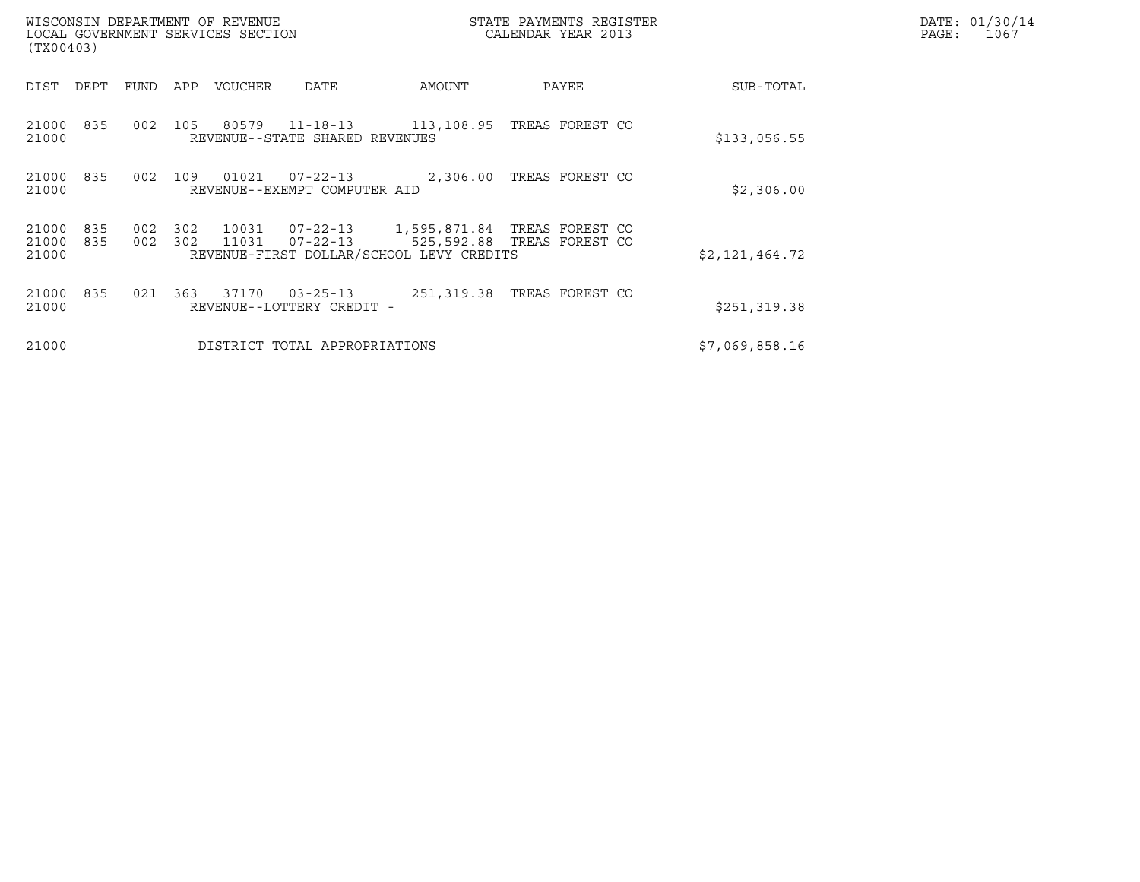| (TX00403)               |            |            |            | WISCONSIN DEPARTMENT OF REVENUE<br>LOCAL GOVERNMENT SERVICES SECTION |                                             |                                          | STATE PAYMENTS REGISTER<br>CALENDAR YEAR 2013              |                | DATE: 01/30/14<br>PAGE:<br>1067 |
|-------------------------|------------|------------|------------|----------------------------------------------------------------------|---------------------------------------------|------------------------------------------|------------------------------------------------------------|----------------|---------------------------------|
| DIST                    | DEPT       | FUND       | APP        | VOUCHER                                                              | DATE                                        | AMOUNT                                   | PAYEE                                                      | SUB-TOTAL      |                                 |
| 21000<br>21000          | 835        | 002        | 105        |                                                                      | REVENUE--STATE SHARED REVENUES              | 80579 11-18-13 113,108.95                | TREAS FOREST CO                                            | \$133,056.55   |                                 |
| 21000<br>21000          | 835        | 002        | 109        | 01021                                                                | REVENUE--EXEMPT COMPUTER AID                | $07 - 22 - 13$ 2,306.00                  | TREAS FOREST CO                                            | \$2,306.00     |                                 |
| 21000<br>21000<br>21000 | 835<br>835 | 002<br>002 | 302<br>302 | 10031<br>11031                                                       | $07 - 22 - 13$<br>07-22-13                  | REVENUE-FIRST DOLLAR/SCHOOL LEVY CREDITS | 1,595,871.84 TREAS FOREST CO<br>525,592.88 TREAS FOREST CO | \$2,121,464.72 |                                 |
| 21000<br>21000          | 835        | 021        | 363        | 37170                                                                | $03 - 25 - 13$<br>REVENUE--LOTTERY CREDIT - |                                          | 251,319.38 TREAS FOREST CO                                 | \$251,319.38   |                                 |
| 21000                   |            |            |            |                                                                      | DISTRICT TOTAL APPROPRIATIONS               |                                          |                                                            | \$7,069,858.16 |                                 |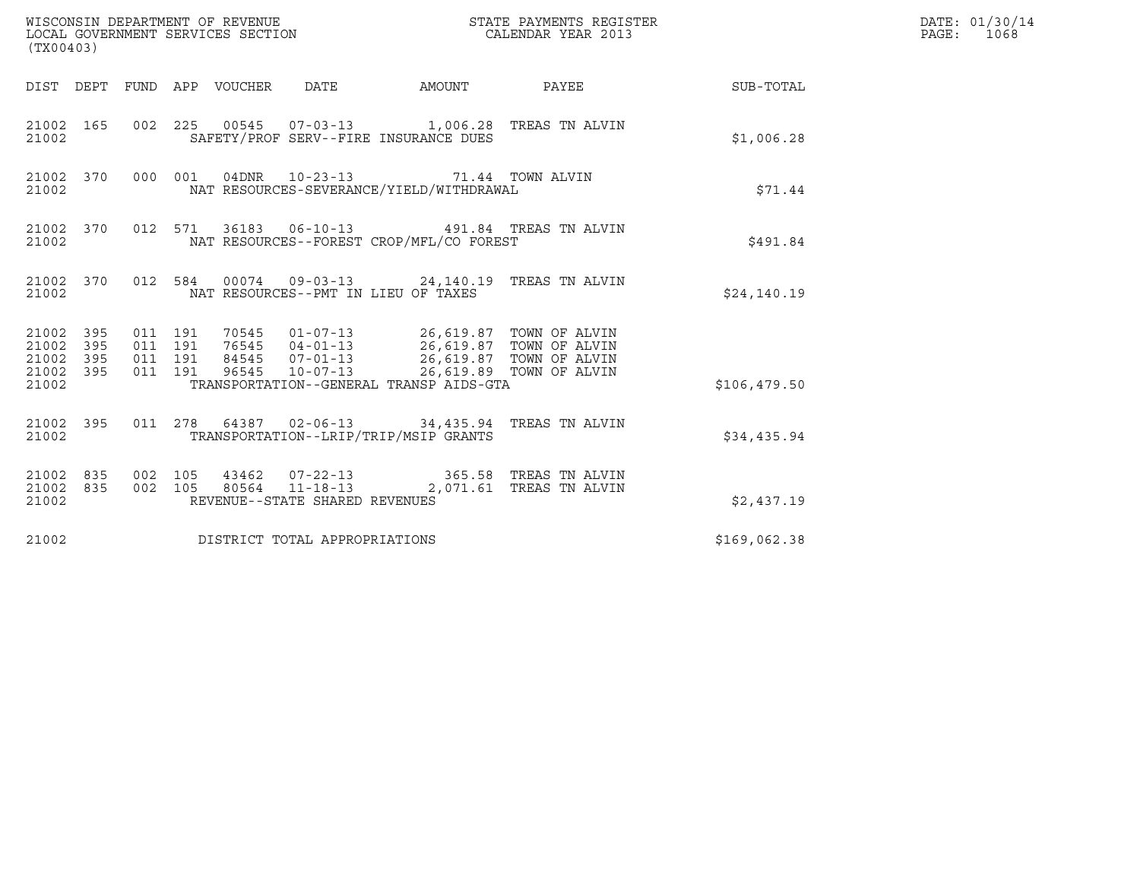| (TX00403)                                                                                                                                                                                                                                                               | DATE: 01/30/14<br>PAGE: 1068 |
|-------------------------------------------------------------------------------------------------------------------------------------------------------------------------------------------------------------------------------------------------------------------------|------------------------------|
| AMOUNT<br>DIST DEPT FUND APP VOUCHER DATE<br>PAYEE<br>SUB-TOTAL                                                                                                                                                                                                         |                              |
| 002 225 00545 07-03-13 1,006.28 TREAS TN ALVIN<br>21002 165<br>SAFETY/PROF SERV--FIRE INSURANCE DUES<br>\$1,006.28<br>21002                                                                                                                                             |                              |
| 000 001 04DNR 10-23-13 71.44 TOWN ALVIN<br>21002 370<br>NAT RESOURCES-SEVERANCE/YIELD/WITHDRAWAL<br>\$71.44<br>21002                                                                                                                                                    |                              |
| 21002 370<br>012 571 36183 06-10-13 491.84 TREAS TN ALVIN<br>NAT RESOURCES--FOREST CROP/MFL/CO FOREST<br>\$491.84<br>21002                                                                                                                                              |                              |
| 21002 370 012 584 00074 09-03-13 24,140.19 TREAS TN ALVIN<br>NAT RESOURCES--PMT IN LIEU OF TAXES<br>\$24,140.19<br>21002                                                                                                                                                |                              |
| 70545  01-07-13  26,619.87  TOWN OF ALVIN<br>21002 395<br>011 191<br>76545 04-01-13<br>84545 07-01-13<br>96545 10-07-13 26,619.87 TOWN OF ALVIN<br>96545 10-07-13 26,619.89 TOWN OF ALVIN<br>21002<br>395<br>011 191<br>395<br>011 191<br>21002<br>21002 395<br>011 191 |                              |
| TRANSPORTATION--GENERAL TRANSP AIDS-GTA<br>21002<br>\$106,479.50                                                                                                                                                                                                        |                              |
| 011  278  64387  02-06-13  34,435.94  TREAS TN ALVIN<br>21002 395<br>TRANSPORTATION--LRIP/TRIP/MSIP GRANTS<br>21002<br>\$34,435.94                                                                                                                                      |                              |
| 002 105<br>43462  07-22-13  365.58  TREAS TN ALVIN<br>21002 835<br>21002 835<br>002 105 80564 11-18-13 2,071.61 TREAS TN ALVIN<br>REVENUE--STATE SHARED REVENUES<br>21002<br>\$2,437.19                                                                                 |                              |
| DISTRICT TOTAL APPROPRIATIONS<br>21002<br>\$169,062.38                                                                                                                                                                                                                  |                              |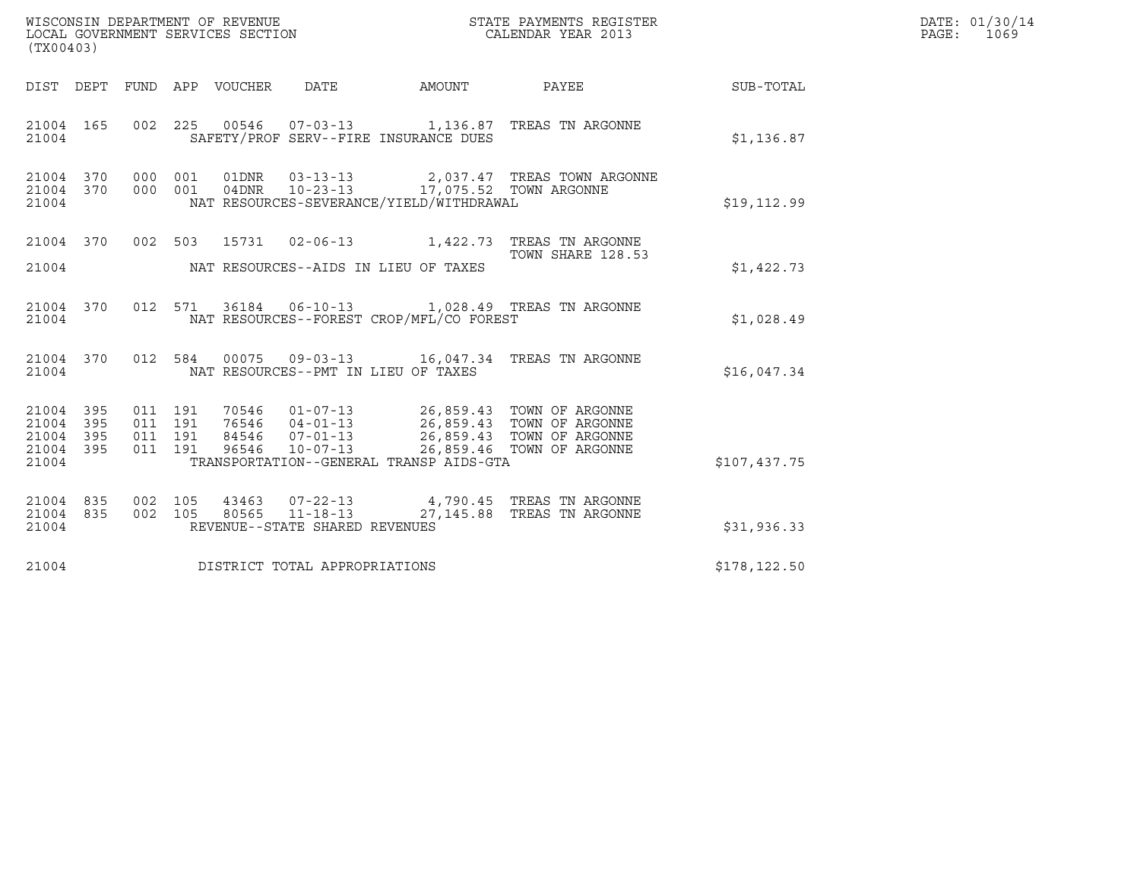| WISCONSIN DEPARTMENT OF REVENUE<br>STATE PAYMENTS REGISTER<br>LOCAL GOVERNMENT SERVICES SECTION<br>CALENDAR YEAR 2013<br>(TX00403)                                                                                                                                                                                                                       |               | DATE: 01/30/14<br>PAGE: 1069 |
|----------------------------------------------------------------------------------------------------------------------------------------------------------------------------------------------------------------------------------------------------------------------------------------------------------------------------------------------------------|---------------|------------------------------|
| FUND APP VOUCHER<br>DATE<br>AMOUNT<br>PAYEE<br>DIST DEPT                                                                                                                                                                                                                                                                                                 | SUB-TOTAL     |                              |
| 21004 165<br>002  225  00546  07-03-13   1,136.87  TREAS TN ARGONNE<br>21004<br>SAFETY/PROF SERV--FIRE INSURANCE DUES                                                                                                                                                                                                                                    | \$1,136.87    |                              |
| 21004<br>000 001<br>01DNR<br>03-13-13 2,037.47 TREAS TOWN ARGONNE<br>370<br>10-23-13 17,075.52 TOWN ARGONNE<br>000 001<br>04DNR<br>21004<br>370<br>NAT RESOURCES-SEVERANCE/YIELD/WITHDRAWAL<br>21004                                                                                                                                                     | \$19, 112.99  |                              |
| 21004 370<br>002 503<br>15731<br>02-06-13 1,422.73 TREAS TN ARGONNE<br>TOWN SHARE 128.53<br>21004<br>NAT RESOURCES--AIDS IN LIEU OF TAXES                                                                                                                                                                                                                | \$1,422.73    |                              |
| 36184  06-10-13  1,028.49  TREAS TN ARGONNE<br>21004 370<br>012<br>571<br>NAT RESOURCES--FOREST CROP/MFL/CO FOREST<br>21004                                                                                                                                                                                                                              | \$1,028.49    |                              |
| 012 584<br>21004 370<br>00075  09-03-13  16,047.34  TREAS TN ARGONNE<br>21004<br>NAT RESOURCES--PMT IN LIEU OF TAXES                                                                                                                                                                                                                                     | \$16,047.34   |                              |
| 21004<br>395<br>011 191<br>01-07-13 26,859.43 TOWN OF ARGONNE<br>04-01-13 26,859.43 TOWN OF ARGONNE<br>07-01-13 26,859.43 TOWN OF ARGONNE<br>70546<br>011 191<br>21004<br>395<br>76546<br>395<br>011 191<br>84546<br>21004<br>10-07-13 26,859.46 TOWN OF ARGONNE<br>395<br>011 191<br>21004<br>96546<br>21004<br>TRANSPORTATION--GENERAL TRANSP AIDS-GTA | \$107,437.75  |                              |
| 21004 835<br>43463 07-22-13<br>4,790.45 TREAS TN ARGONNE<br>002 105<br>$11 - 18 - 13$<br>002 105<br>80565<br>27,145.88 TREAS TN ARGONNE<br>21004<br>835<br>REVENUE--STATE SHARED REVENUES<br>21004                                                                                                                                                       | \$31,936.33   |                              |
| 21004<br>DISTRICT TOTAL APPROPRIATIONS                                                                                                                                                                                                                                                                                                                   | \$178, 122.50 |                              |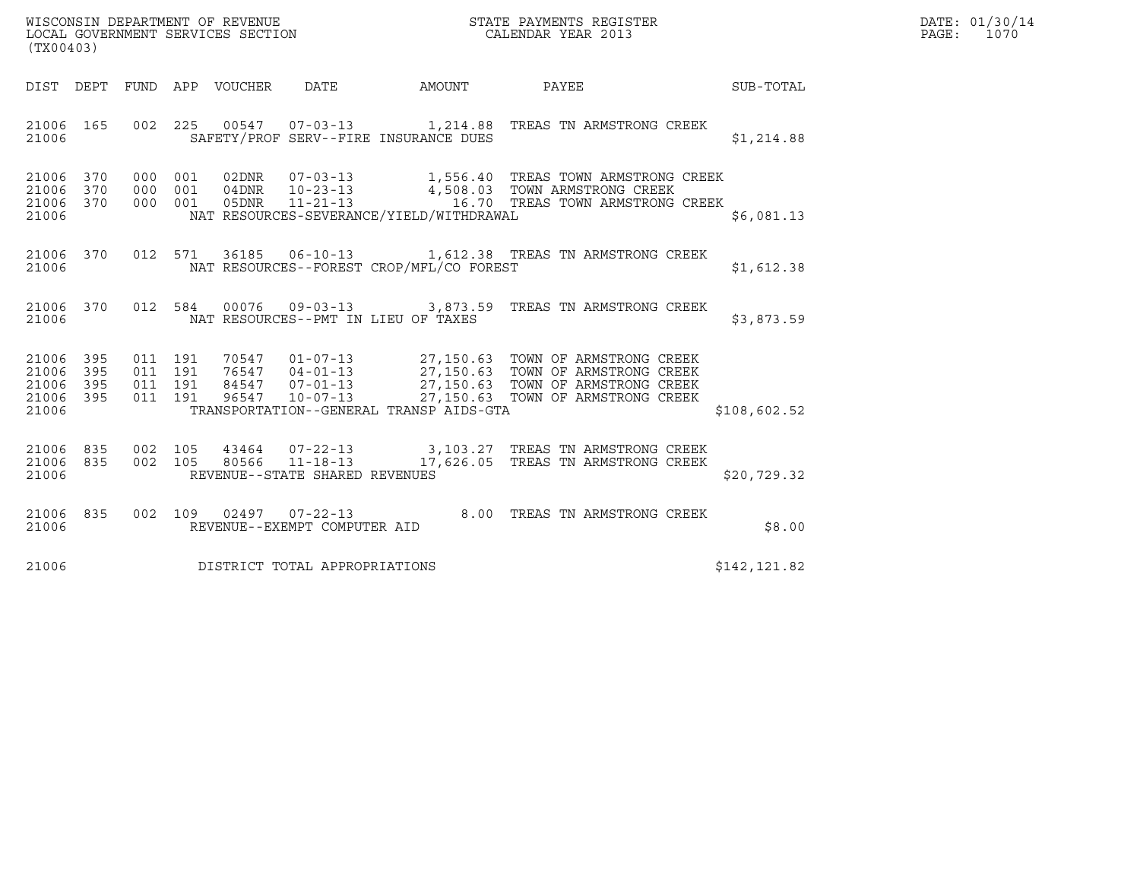| WISCONSIN DEPARTMENT OF REVENUE<br>LOCAL GOVERNMENT SERVICES SECTION<br>(TX00403) | STATE PAYMENTS REGISTER<br>CALENDAR YEAR 2013 | DATE: 01/30/14<br>PAGE:<br>1070 |
|-----------------------------------------------------------------------------------|-----------------------------------------------|---------------------------------|

| (TX00403)                                 |                          |                          |                          |                       |                                                    |                                          |                                                                                                                                                                                                        |              |
|-------------------------------------------|--------------------------|--------------------------|--------------------------|-----------------------|----------------------------------------------------|------------------------------------------|--------------------------------------------------------------------------------------------------------------------------------------------------------------------------------------------------------|--------------|
| DIST                                      | DEPT                     |                          |                          | FUND APP VOUCHER DATE |                                                    | <b>AMOUNT</b>                            | PAYEE                                                                                                                                                                                                  | SUB-TOTAL    |
| 21006<br>21006                            | 165                      | 002                      | 225                      |                       |                                                    | SAFETY/PROF SERV--FIRE INSURANCE DUES    | 00547  07-03-13  1,214.88 TREAS TN ARMSTRONG CREEK                                                                                                                                                     | \$1,214.88   |
| 21006<br>21006<br>21006<br>21006          | 370<br>370<br>370        | 000<br>000<br>000        | 001<br>001<br>001        |                       |                                                    | NAT RESOURCES-SEVERANCE/YIELD/WITHDRAWAL |                                                                                                                                                                                                        | \$6,081.13   |
| 21006<br>21006                            | 370                      |                          | 012 571                  |                       |                                                    | NAT RESOURCES--FOREST CROP/MFL/CO FOREST | 36185  06-10-13   1,612.38  TREAS TN ARMSTRONG CREEK                                                                                                                                                   | \$1,612.38   |
| 21006<br>21006                            | 370                      | 012                      | 584                      |                       |                                                    | NAT RESOURCES--PMT IN LIEU OF TAXES      | 00076  09-03-13  3,873.59  TREAS TN ARMSTRONG CREEK                                                                                                                                                    | \$3,873.59   |
| 21006<br>21006<br>21006<br>21006<br>21006 | 395<br>395<br>395<br>395 | 011<br>011<br>011<br>011 | 191<br>191<br>191<br>191 | 96547                 | $10 - 07 - 13$                                     | TRANSPORTATION--GENERAL TRANSP AIDS-GTA  | 70547  01-07-13  27,150.63  TOWN OF ARMSTRONG CREEK<br>76547  04-01-13  27,150.63  TOWN OF ARMSTRONG CREEK<br>84547  07-01-13  27,150.63  TOWN OF ARMSTRONG CREEK<br>27,150.63 TOWN OF ARMSTRONG CREEK | \$108,602.52 |
| 21006<br>21006<br>21006                   | 835<br>835               | 002<br>002               | 105                      |                       | REVENUE--STATE SHARED REVENUES                     |                                          | 43464  07-22-13  3,103.27  TREAS TN ARMSTRONG CREEK<br>105 80566 11-18-13 17,626.05 TREAS TN ARMSTRONG CREEK                                                                                           | \$20,729.32  |
| 21006<br>21006                            | 835                      | 002                      |                          |                       | 109 02497 07-22-13<br>REVENUE--EXEMPT COMPUTER AID |                                          | 8.00 TREAS TN ARMSTRONG CREEK                                                                                                                                                                          | \$8.00       |
| 21006                                     |                          |                          |                          |                       | DISTRICT TOTAL APPROPRIATIONS                      |                                          |                                                                                                                                                                                                        | \$142,121.82 |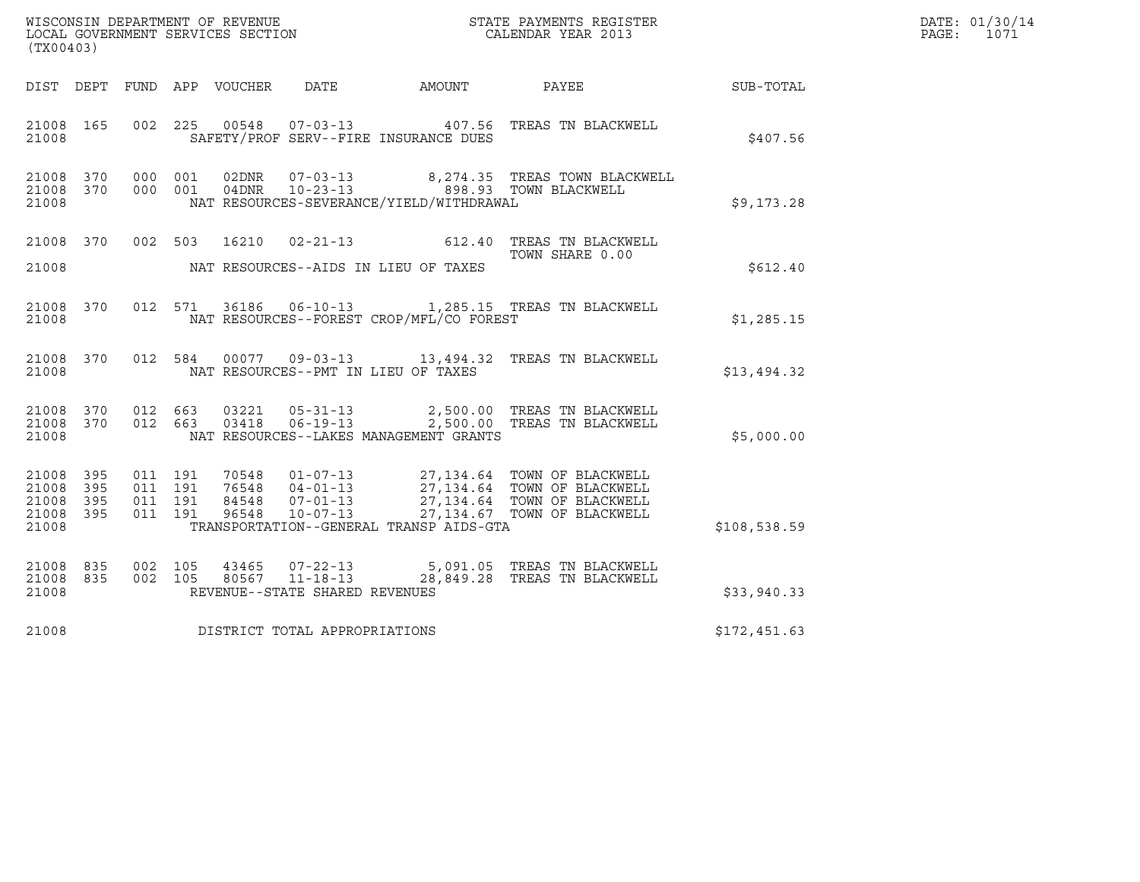| WISCONSIN DEPARTMENT OF REVENUE<br>LOCAL GOVERNMENT SERVICES SECTION<br>(TX00403) | STATE PAYMENTS REGISTER<br>CALENDAR YEAR 2013 | DATE: 01/30/14<br>PAGE:<br>1071 |
|-----------------------------------------------------------------------------------|-----------------------------------------------|---------------------------------|

| (TX00403)                                                          |                                                                                                                                                                                                             |                                                                                                                          |              |
|--------------------------------------------------------------------|-------------------------------------------------------------------------------------------------------------------------------------------------------------------------------------------------------------|--------------------------------------------------------------------------------------------------------------------------|--------------|
| DIST<br>DEPT                                                       | DATE<br>FUND<br>APP VOUCHER                                                                                                                                                                                 | AMOUNT<br>PAYEE                                                                                                          | SUB-TOTAL    |
| 165<br>21008<br>21008                                              | 002<br>225<br>SAFETY/PROF SERV--FIRE INSURANCE DUES                                                                                                                                                         | 00548  07-03-13  407.56  TREAS TN BLACKWELL                                                                              | \$407.56     |
| 21008<br>370<br>21008<br>370<br>21008                              | 000<br>001<br>02DNR<br>$07 - 03 - 13$<br>$10 - 23 - 13$<br>000<br>04DNR<br>001<br>NAT RESOURCES-SEVERANCE/YIELD/WITHDRAWAL                                                                                  | 8,274.35 TREAS TOWN BLACKWELL<br>898.93 TOWN BLACKWELL                                                                   | \$9,173.28   |
| 370<br>21008<br>21008                                              | 16210<br>002<br>503<br>$02 - 21 - 13$<br>NAT RESOURCES--AIDS IN LIEU OF TAXES                                                                                                                               | TREAS TN BLACKWELL<br>612.40<br>TOWN SHARE 0.00                                                                          | \$612.40     |
| 21008 370<br>21008                                                 | 012<br>571<br>36186<br>$06 - 10 - 13$<br>NAT RESOURCES--FOREST CROP/MFL/CO FOREST                                                                                                                           | 1,285.15 TREAS TN BLACKWELL                                                                                              | \$1,285.15   |
| 21008<br>370<br>21008                                              | 012<br>584<br>NAT RESOURCES--PMT IN LIEU OF TAXES                                                                                                                                                           | 00077  09-03-13  13,494.32  TREAS TN BLACKWELL                                                                           | \$13,494.32  |
| 370<br>21008<br>21008<br>370<br>21008                              | 012<br>663<br>03221<br>$05 - 31 - 13$<br>663<br>$06 - 19 - 13$<br>012<br>03418<br>NAT RESOURCES--LAKES MANAGEMENT GRANTS                                                                                    | 2,500.00 TREAS TN BLACKWELL<br>2,500.00 TREAS TN BLACKWELL                                                               | \$5,000.00   |
| 21008 395<br>21008<br>395<br>21008<br>395<br>21008<br>395<br>21008 | 011<br>191<br>70548<br>$01 - 07 - 13$<br>76548<br>$04 - 01 - 13$<br>011<br>191<br>84548<br>$07 - 01 - 13$<br>191<br>011<br>011<br>191<br>96548<br>$10 - 07 - 13$<br>TRANSPORTATION--GENERAL TRANSP AIDS-GTA | 27,134.64 TOWN OF BLACKWELL<br>27,134.64 TOWN OF BLACKWELL<br>27,134.64 TOWN OF BLACKWELL<br>27,134.67 TOWN OF BLACKWELL | \$108,538.59 |
| 21008<br>835<br>21008<br>835<br>21008                              | 002<br>105<br>43465 07-22-13<br>80567 11-18-13 28,849.28<br>002<br>105<br>REVENUE--STATE SHARED REVENUES                                                                                                    | 5,091.05 TREAS TN BLACKWELL<br>TREAS TN BLACKWELL                                                                        | \$33,940.33  |
| 21008                                                              | DISTRICT TOTAL APPROPRIATIONS                                                                                                                                                                               |                                                                                                                          | \$172,451.63 |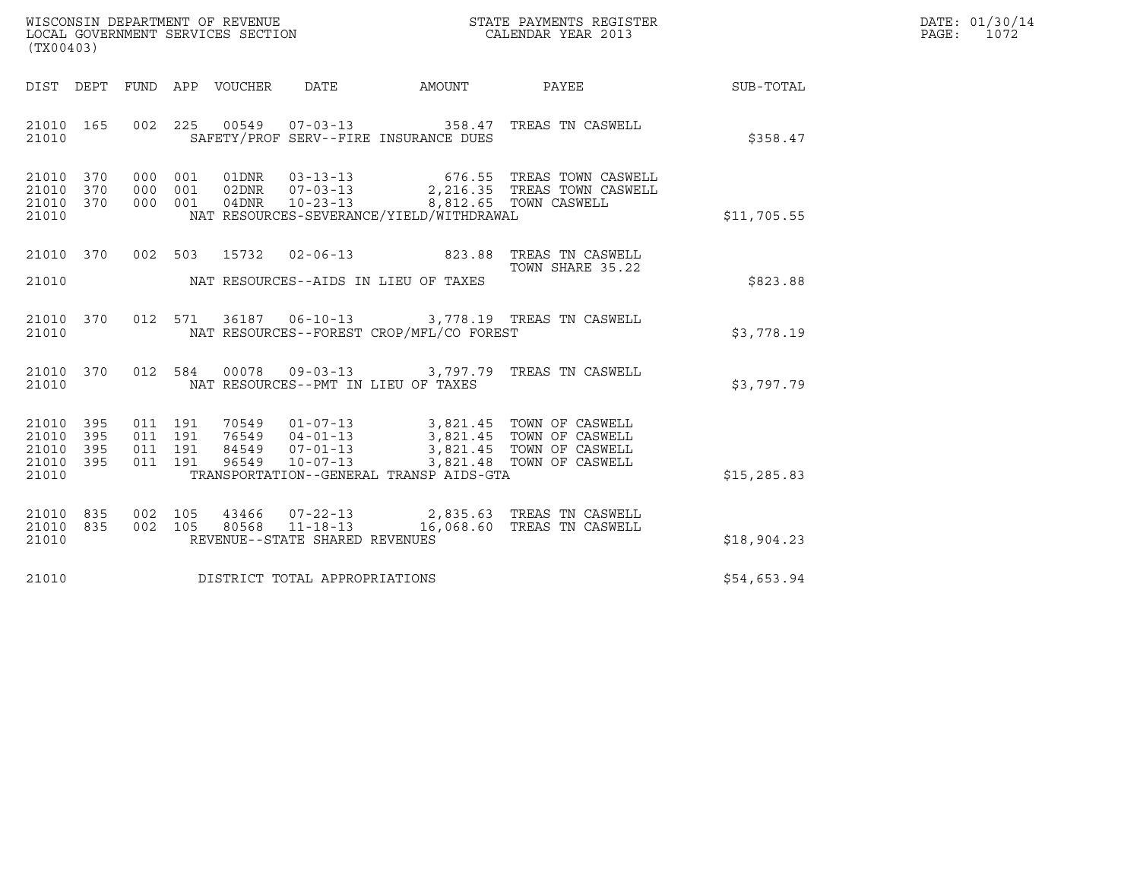| WISCONSIN DEPARTMENT OF REVENUE   | STATE PAYMENTS REGISTER | DATE: 01/30/14 |
|-----------------------------------|-------------------------|----------------|
| LOCAL GOVERNMENT SERVICES SECTION | CALENDAR YEAR 2013      | 1072<br>PAGE:  |

| (TX00403)                                                 |                                                                                                                                                                                                                                                     | WISCONSIN DEPARTMENT OF REVENUE<br>LOCAL GOVERNMENT SERVICES SECTION<br>CALENDAR YEAR 2013 |                  |              | DATE: 01/30/14<br>PAGE: 1072 |
|-----------------------------------------------------------|-----------------------------------------------------------------------------------------------------------------------------------------------------------------------------------------------------------------------------------------------------|--------------------------------------------------------------------------------------------|------------------|--------------|------------------------------|
|                                                           | DIST DEPT FUND APP VOUCHER DATE AMOUNT PAYEE                                                                                                                                                                                                        |                                                                                            |                  | SUB-TOTAL    |                              |
| 21010 165<br>21010                                        | 002 225 00549 07-03-13 358.47 TREAS TN CASWELL<br>SAFETY/PROF SERV--FIRE INSURANCE DUES                                                                                                                                                             |                                                                                            |                  | \$358.47     |                              |
| 21010 370<br>21010 370<br>21010 370<br>21010              | 000 001 01DNR 03-13-13 676.55 TREAS TOWN CASWELL<br>000 001 02DNR 07-03-13 2,216.35 TREAS TOWN CASWELL<br>000 001 04DNR 10-23-13 8,812.65 TOWN CASWELL<br>NAT RESOURCES-SEVERANCE/YIELD/WITHDRAWAL                                                  |                                                                                            |                  | \$11,705.55  |                              |
| 21010                                                     | 21010 370 002 503 15732 02-06-13 823.88 TREAS TN CASWELL<br>NAT RESOURCES--AIDS IN LIEU OF TAXES                                                                                                                                                    |                                                                                            | TOWN SHARE 35.22 | \$823.88     |                              |
| 21010                                                     | 21010 370 012 571 36187 06-10-13 3,778.19 TREAS TN CASWELL<br>NAT RESOURCES--FOREST CROP/MFL/CO FOREST                                                                                                                                              |                                                                                            |                  | \$3.778.19   |                              |
| 21010                                                     | 21010 370 012 584 00078 09-03-13 3,797.79 TREAS TN CASWELL<br>NAT RESOURCES--PMT IN LIEU OF TAXES                                                                                                                                                   |                                                                                            |                  | \$3,797.79   |                              |
| 21010 395<br>21010 395<br>21010 395<br>21010 395<br>21010 | 011 191 70549 01-07-13 3,821.45 TOWN OF CASWELL<br>011 191 76549 04-01-13 3,821.45 TOWN OF CASWELL<br>011 191 84549 07-01-13 3,821.45 TOWN OF CASWELL<br>011 191 96549 10-07-13 3,821.48 TOWN OF CASWELL<br>TRANSPORTATION--GENERAL TRANSP AIDS-GTA |                                                                                            |                  | \$15, 285.83 |                              |
| 21010 835<br>21010 835<br>21010                           | 002 105 43466 07-22-13 2,835.63 TREAS TN CASWELL<br>002 105 80568 11-18-13 16,068.60 TREAS TN CASWELL<br>REVENUE--STATE SHARED REVENUES                                                                                                             |                                                                                            |                  | \$18,904.23  |                              |
|                                                           | 21010 DISTRICT TOTAL APPROPRIATIONS                                                                                                                                                                                                                 |                                                                                            |                  | \$54,653.94  |                              |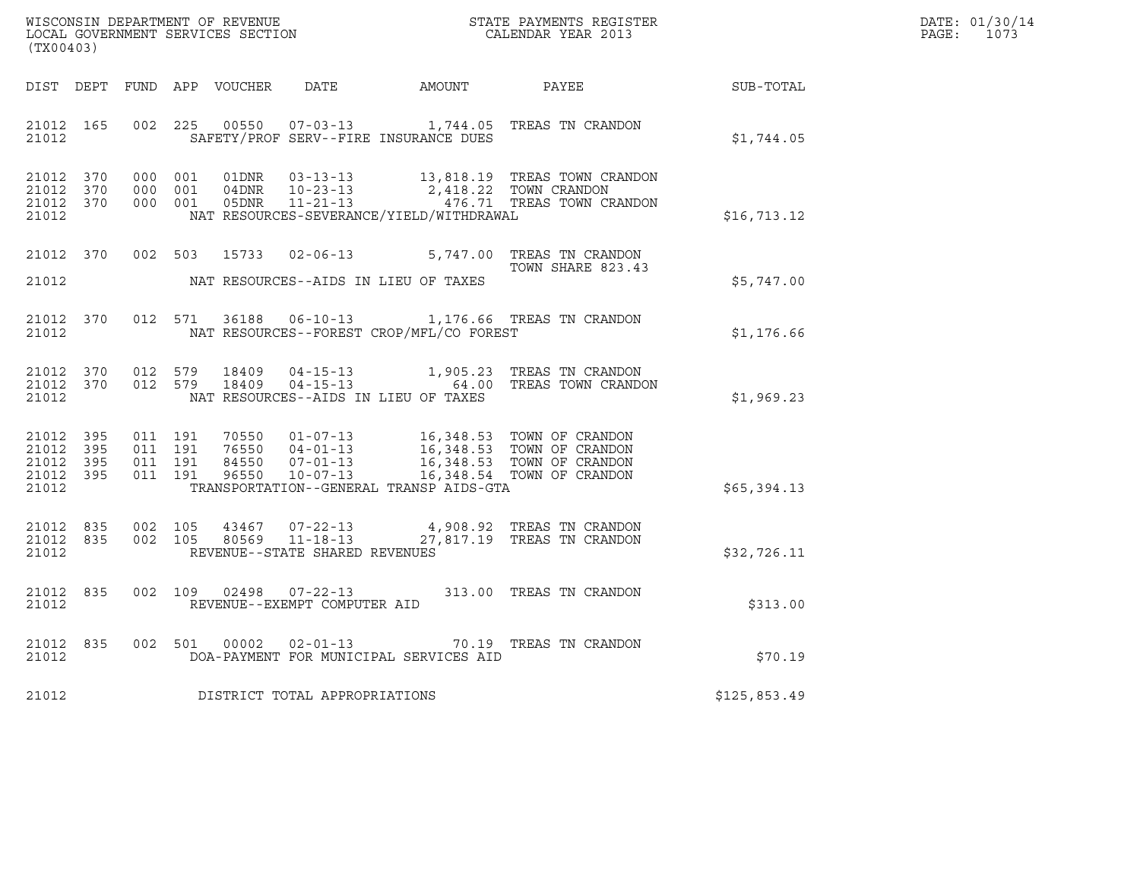| DATE: | 01/30/14 |
|-------|----------|
| PAGE: | 1073     |

| (TX00403)                                                 |  |  |  |                                     |                                          |                                                                                                                                                                                                                                                         |              | DATE: 01/30/14<br>PAGE: 1073 |
|-----------------------------------------------------------|--|--|--|-------------------------------------|------------------------------------------|---------------------------------------------------------------------------------------------------------------------------------------------------------------------------------------------------------------------------------------------------------|--------------|------------------------------|
|                                                           |  |  |  |                                     |                                          | DIST DEPT FUND APP VOUCHER DATE AMOUNT PAYEE SUB-TOTAL                                                                                                                                                                                                  |              |                              |
| 21012                                                     |  |  |  |                                     |                                          | 21012 165 002 225 00550 07-03-13 1,744.05 TREAS TN CRANDON<br>SAFETY/PROF SERV--FIRE INSURANCE DUES                                                                                                                                                     | \$1,744.05   |                              |
| 21012 370<br>21012 370<br>21012 370<br>21012              |  |  |  |                                     | NAT RESOURCES-SEVERANCE/YIELD/WITHDRAWAL | 000 001 01DNR 03-13-13 13,818.19 TREAS TOWN CRANDON<br>000 001 04DNR 10-23-13 2,418.22 TOWN CRANDON<br>000 001 05DNR 11-21-13 476.71 TREAS TOWN CRANDON                                                                                                 | \$16, 713.12 |                              |
|                                                           |  |  |  |                                     |                                          | 21012 370 002 503 15733 02-06-13 5,747.00 TREAS TN CRANDON<br>TOWN SHARE 823.43                                                                                                                                                                         | \$5,747.00   |                              |
| 21012                                                     |  |  |  |                                     |                                          | 21012 370 012 571 36188 06-10-13 1,176.66 TREAS TN CRANDON<br>NAT RESOURCES--FOREST CROP/MFL/CO FOREST                                                                                                                                                  | \$1,176.66   |                              |
| 21012                                                     |  |  |  |                                     | NAT RESOURCES--AIDS IN LIEU OF TAXES     | $\begin{array}{cccccc} 21012 & 370 & 012 & 579 & 18409 & 04-15-13 & & 1,905.23 & \text{TREAS TN CRANDON} \\ 21012 & 370 & 012 & 579 & 18409 & 04-15-13 & & & 64.00 & \text{TREAS TOWN CRANDON} \end{array}$                                             | \$1,969.23   |                              |
| 21012 395<br>21012 395<br>21012 395<br>21012 395<br>21012 |  |  |  |                                     |                                          | 011 191 70550 01-07-13 16,348.53 TOWN OF CRANDON<br>011 191 76550 04-01-13 16,348.53 TOWN OF CRANDON<br>011 191 84550 07-01-13 16,348.53 TOWN OF CRANDON<br>011 191 96550 10-07-13 16,348.54 TOWN OF CRANDON<br>TRANSPORTATION--GENERAL TRANSP AIDS-GTA | \$65,394.13  |                              |
| 21012                                                     |  |  |  | REVENUE--STATE SHARED REVENUES      |                                          | 21012 835 002 105 43467 07-22-13 4,908.92 TREAS TN CRANDON<br>21012 835 002 105 80569 11-18-13 27,817.19 TREAS TN CRANDON                                                                                                                               | \$32,726.11  |                              |
| 21012 835<br>21012                                        |  |  |  | REVENUE--EXEMPT COMPUTER AID        |                                          | 002 109 02498 07-22-13 313.00 TREAS TN CRANDON                                                                                                                                                                                                          | \$313.00     |                              |
| 21012                                                     |  |  |  |                                     | DOA-PAYMENT FOR MUNICIPAL SERVICES AID   | 21012 835 002 501 00002 02-01-13 70.19 TREAS TN CRANDON                                                                                                                                                                                                 | \$70.19      |                              |
|                                                           |  |  |  | 21012 DISTRICT TOTAL APPROPRIATIONS |                                          |                                                                                                                                                                                                                                                         | \$125,853.49 |                              |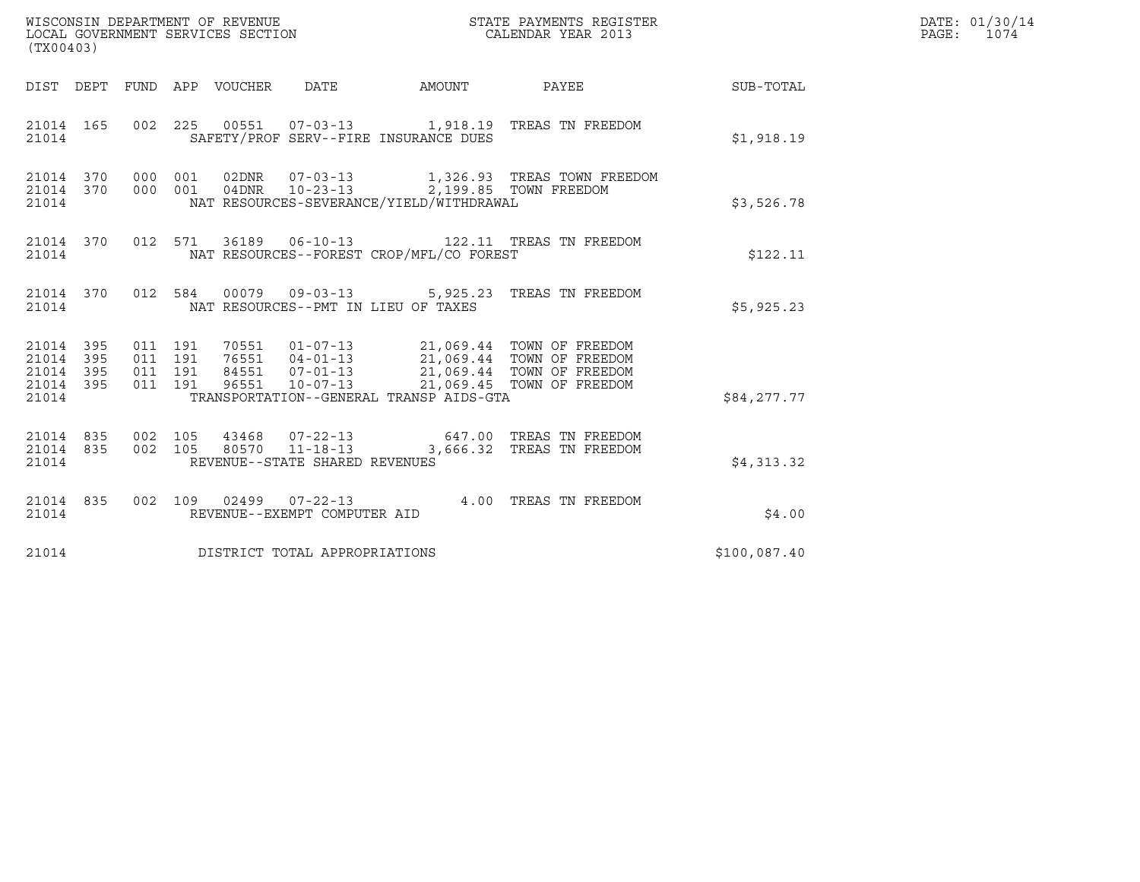| (TX00403)                                                 |           |                                          |  |                                |                                          |                                                                                                                                                                                                      |              | DATE: 01/30/14<br>PAGE: 1074 |
|-----------------------------------------------------------|-----------|------------------------------------------|--|--------------------------------|------------------------------------------|------------------------------------------------------------------------------------------------------------------------------------------------------------------------------------------------------|--------------|------------------------------|
|                                                           |           |                                          |  |                                |                                          |                                                                                                                                                                                                      |              |                              |
| 21014                                                     | 21014 165 |                                          |  |                                | SAFETY/PROF SERV--FIRE INSURANCE DUES    | 002  225  00551  07-03-13  1,918.19  TREAS TN FREEDOM                                                                                                                                                | \$1,918.19   |                              |
| 21014                                                     | 21014 370 | 21014 370 000 001                        |  |                                | NAT RESOURCES-SEVERANCE/YIELD/WITHDRAWAL | 000 001 02DNR 07-03-13 1,326.93 TREAS TOWN FREEDOM<br>000 001 04DNR 10-23-13 2,199.85 TOWN FREEDOM                                                                                                   | \$3,526.78   |                              |
| 21014                                                     |           |                                          |  |                                | NAT RESOURCES--FOREST CROP/MFL/CO FOREST | 21014 370 012 571 36189 06-10-13 122.11 TREAS TN FREEDOM                                                                                                                                             | \$122.11     |                              |
| 21014                                                     |           |                                          |  |                                | NAT RESOURCES--PMT IN LIEU OF TAXES      | 21014 370 012 584 00079 09-03-13 5,925.23 TREAS TN FREEDOM                                                                                                                                           | \$5,925.23   |                              |
| 21014 395<br>21014 395<br>21014 395<br>21014 395<br>21014 |           | 011 191<br>011 191<br>011 191<br>011 191 |  |                                | TRANSPORTATION--GENERAL TRANSP AIDS-GTA  | 70551   01-07-13   21,069.44   TOWN OF FREEDOM<br>76551   04-01-13   21,069.44   TOWN OF FREEDOM<br>84551   07-01-13   21,069.44   TOWN OF FREEDOM<br>96551   10-07-13   21,069.45   TOWN OF FREEDOM | \$84,277.77  |                              |
| 21014 835<br>21014                                        |           | 21014 835 002 105<br>002 105             |  | REVENUE--STATE SHARED REVENUES |                                          | 43468  07-22-13  647.00 TREAS TN FREEDOM<br>80570    11-18-13    3,666.32    TREAS TN FREEDOM                                                                                                        | \$4,313.32   |                              |
| 21014                                                     | 21014 835 |                                          |  | REVENUE--EXEMPT COMPUTER AID   |                                          | 002 109 02499 07-22-13 4.00 TREAS TN FREEDOM                                                                                                                                                         | \$4.00       |                              |
| 21014                                                     |           |                                          |  | DISTRICT TOTAL APPROPRIATIONS  |                                          |                                                                                                                                                                                                      | \$100,087.40 |                              |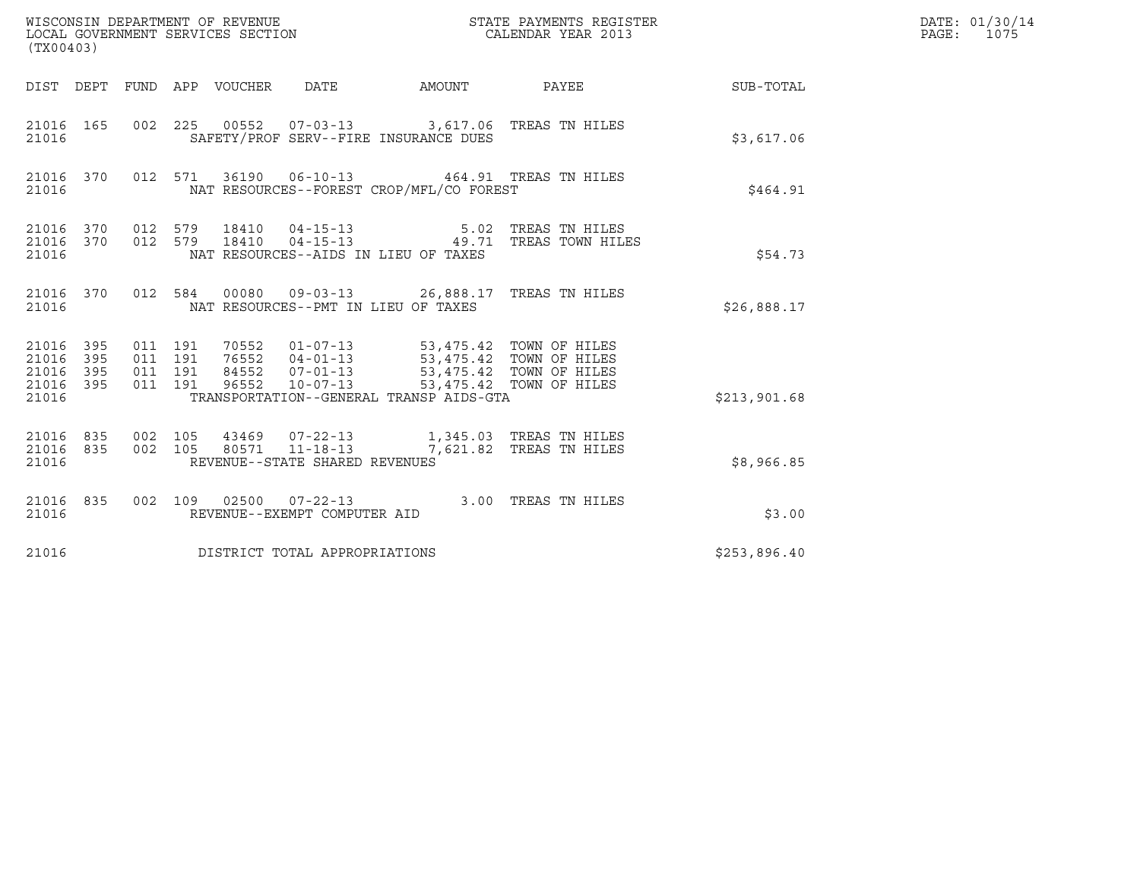| WISCONSIN DEPARTMENT OF REVENUE<br>LOCAL GOVERNMENT SERVICES SECTION<br>(TX00403) |                   |                                          |         |                |                                | STATE PAYMENTS REGISTER<br>CALENDAR YEAR 2013                                                                                                                                  |                                 |                                                           | DATE: 01/30/14<br>PAGE: 1075 |
|-----------------------------------------------------------------------------------|-------------------|------------------------------------------|---------|----------------|--------------------------------|--------------------------------------------------------------------------------------------------------------------------------------------------------------------------------|---------------------------------|-----------------------------------------------------------|------------------------------|
|                                                                                   |                   |                                          |         |                |                                |                                                                                                                                                                                |                                 | DIST DEPT FUND APP VOUCHER DATE AMOUNT PAYEE TO SUB-TOTAL |                              |
| 21016 165<br>21016                                                                |                   |                                          |         |                |                                | 002 225 00552 07-03-13 3,617.06 TREAS TN HILES<br>SAFETY/PROF SERV--FIRE INSURANCE DUES                                                                                        |                                 | \$3,617.06                                                |                              |
| 21016 370<br>21016                                                                |                   |                                          |         |                |                                | 012 571 36190 06-10-13 464.91 TREAS TN HILES<br>NAT RESOURCES--FOREST CROP/MFL/CO FOREST                                                                                       |                                 | \$464.91                                                  |                              |
| 21016 370<br>21016 370<br>21016                                                   |                   | 012 579                                  | 012 579 | 18410<br>18410 |                                | 04-15-13 5.02 TREAS TN HILES<br>NAT RESOURCES--AIDS IN LIEU OF TAXES                                                                                                           | 04-15-13 49.71 TREAS TOWN HILES | \$54.73                                                   |                              |
| 21016 370<br>21016                                                                |                   |                                          |         |                |                                | 012 584 00080 09-03-13 26,888.17 TREAS TN HILES<br>NAT RESOURCES--PMT IN LIEU OF TAXES                                                                                         |                                 | \$26,888.17                                               |                              |
| 21016 395<br>21016<br>21016<br>21016<br>21016                                     | 395<br>395<br>395 | 011 191<br>011 191<br>011 191<br>011 191 |         | 96552          | $10 - 07 - 13$                 | 70552  01-07-13  53,475.42  TOWN OF HILES<br>76552  04-01-13  53,475.42  TOWN OF HILES<br>84552  07-01-13  53,475.42  TOWN OF HILES<br>TRANSPORTATION--GENERAL TRANSP AIDS-GTA | 53,475.42 TOWN OF HILES         | \$213,901.68                                              |                              |
| 21016 835<br>21016 835<br>21016                                                   |                   | 002 105<br>002 105                       |         |                | REVENUE--STATE SHARED REVENUES | 80571  11-18-13  7,621.82 TREAS TN HILES                                                                                                                                       |                                 | \$8,966.85                                                |                              |
| 21016 835<br>21016                                                                |                   |                                          |         |                | REVENUE--EXEMPT COMPUTER AID   | 002 109 02500 07-22-13 3.00 TREAS TN HILES                                                                                                                                     |                                 | \$3.00                                                    |                              |
| 21016                                                                             |                   |                                          |         |                | DISTRICT TOTAL APPROPRIATIONS  |                                                                                                                                                                                |                                 | \$253,896.40                                              |                              |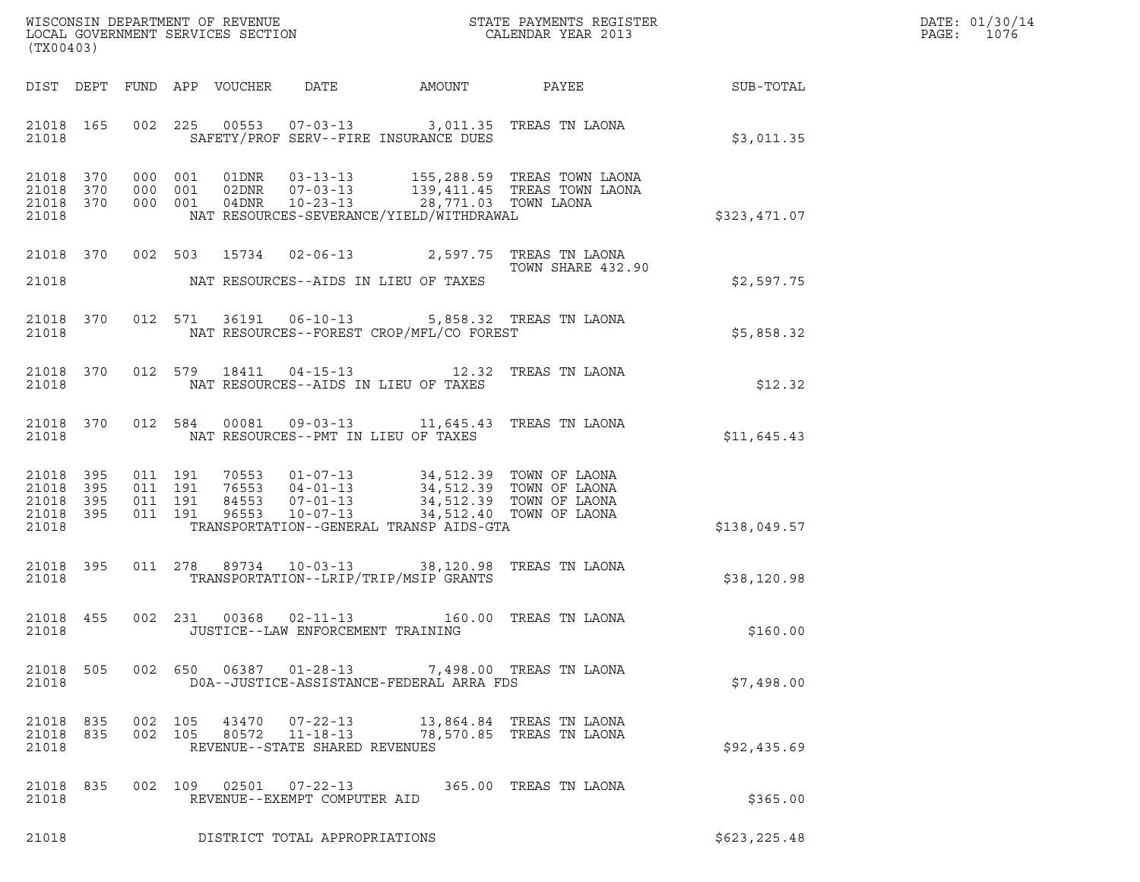| DATE: | 01/30/14 |
|-------|----------|
| PAGE: | 1076     |

| (TX00403)                                             |     |                                                   |                                     |                                                                                                                                                                       |                                                            |              | DATE: 01/30/14<br>$\mathtt{PAGE}$ :<br>1076 |
|-------------------------------------------------------|-----|---------------------------------------------------|-------------------------------------|-----------------------------------------------------------------------------------------------------------------------------------------------------------------------|------------------------------------------------------------|--------------|---------------------------------------------|
| DIST DEPT                                             |     | FUND APP VOUCHER                                  | DATE                                | AMOUNT                                                                                                                                                                | PAYEE                                                      | SUB-TOTAL    |                                             |
| 21018 165<br>21018                                    |     |                                                   |                                     | 002 225 00553 07-03-13 3,011.35 TREAS TN LAONA<br>SAFETY/PROF SERV--FIRE INSURANCE DUES                                                                               |                                                            | \$3,011.35   |                                             |
| 21018 370<br>21018 370<br>21018 370<br>21018          |     | 000 001<br>000 001<br>02DNR<br>000 001<br>04DNR   | $07 - 03 - 13$                      | 10-23-13 28,771.03 TOWN LAONA<br>NAT RESOURCES-SEVERANCE/YIELD/WITHDRAWAL                                                                                             | 155,288.59 TREAS TOWN LAONA<br>139,411.45 TREAS TOWN LAONA | \$323,471.07 |                                             |
| 21018 370<br>21018                                    |     |                                                   |                                     | 002 503 15734 02-06-13 2,597.75 TREAS TN LAONA<br>NAT RESOURCES--AIDS IN LIEU OF TAXES                                                                                | TOWN SHARE 432.90                                          | \$2,597.75   |                                             |
| 21018<br>21018                                        | 370 | 012 571                                           | 36191   06-10-13                    | NAT RESOURCES--FOREST CROP/MFL/CO FOREST                                                                                                                              | 5,858.32 TREAS TN LAONA                                    | \$5,858.32   |                                             |
| 21018<br>21018                                        | 370 | 012 579<br>18411                                  |                                     | 04-15-13 12.32 TREAS TN LAONA<br>NAT RESOURCES--AIDS IN LIEU OF TAXES                                                                                                 |                                                            | \$12.32      |                                             |
| 21018 370<br>21018                                    |     | 012 584<br>00081                                  | NAT RESOURCES--PMT IN LIEU OF TAXES | 09-03-13 11,645.43 TREAS TN LAONA                                                                                                                                     |                                                            | \$11,645.43  |                                             |
| 21018<br>21018 395<br>21018 395<br>21018 395<br>21018 | 395 | 011 191<br>011 191<br>011 191<br>84553<br>011 191 | 76553 04-01-13<br>96553 10-07-13    | 70553  01-07-13  34,512.39  TOWN OF LAONA<br>76553  04-01-13  34,512.39  TOWN OF LAONA<br>07-01-13 34,512.39 TOWN OF LAONA<br>TRANSPORTATION--GENERAL TRANSP AIDS-GTA | 34,512.40 TOWN OF LAONA                                    | \$138,049.57 |                                             |
| 21018 395<br>21018                                    |     |                                                   |                                     | 011  278  89734  10-03-13  38,120.98  TREAS TN LAONA<br>TRANSPORTATION--LRIP/TRIP/MSIP GRANTS                                                                         |                                                            | \$38,120.98  |                                             |
| 21018 455<br>21018                                    |     | 002 231                                           | JUSTICE--LAW ENFORCEMENT TRAINING   | 00368  02-11-13  160.00 TREAS TN LAONA                                                                                                                                |                                                            | \$160.00     |                                             |
| 21018 505<br>21018                                    |     |                                                   |                                     | 002 650 06387 01-28-13 7,498.00 TREAS TN LAONA<br>DOA--JUSTICE-ASSISTANCE-FEDERAL ARRA FDS                                                                            |                                                            | \$7,498.00   |                                             |
| 21018 835<br>21018 835<br>21018                       |     | 002 105<br>002 105                                | REVENUE--STATE SHARED REVENUES      | 43470  07-22-13   13,864.84 TREAS TN LAONA<br>80572  11-18-13  78,570.85  TREAS TN LAONA                                                                              |                                                            | \$92,435.69  |                                             |
| 21018 835<br>21018                                    |     |                                                   | REVENUE--EXEMPT COMPUTER AID        | 002 109 02501 07-22-13 365.00 TREAS TN LAONA                                                                                                                          |                                                            | \$365.00     |                                             |
| 21018                                                 |     |                                                   | DISTRICT TOTAL APPROPRIATIONS       |                                                                                                                                                                       |                                                            | \$623,225.48 |                                             |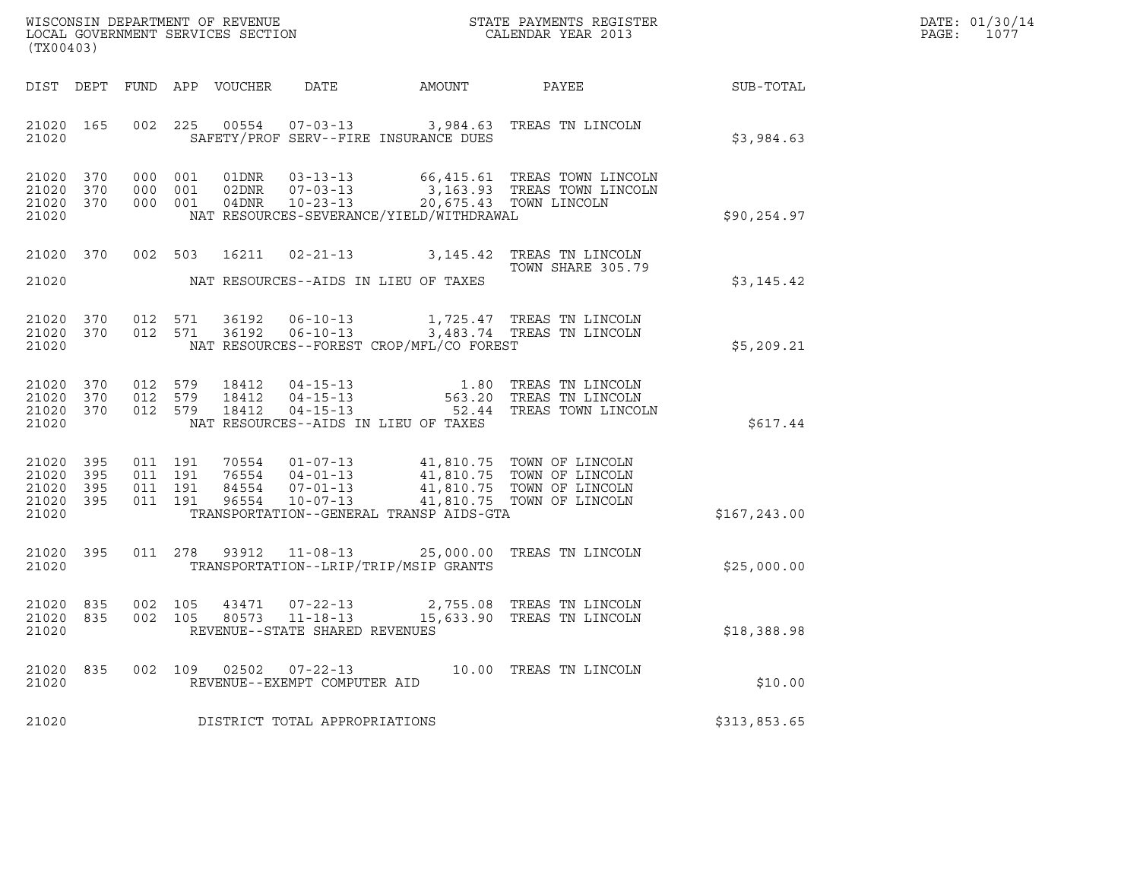| WISCONSIN DEPARTMENT OF REVENUE   | STATE PAYMENTS REGISTER | DATE: 01/30/14 |
|-----------------------------------|-------------------------|----------------|
| LOCAL GOVERNMENT SERVICES SECTION | CALENDAR YEAR 2013      | 1077<br>PAGE:  |

| WISCONSIN DEPARTMENT OF REVENUE                               STATE PAYMENTS REGISTER LOCAL GOVERNMENT SERVICES SECTION                                 CALENDAR YEAR 2013<br>(TX00403) |                                     |                    |                               |                         |                                |                                              |                                                                                                                                                                                          |               | DATE: 01/30/14<br>$\mathtt{PAGE:}$<br>1077 |
|-----------------------------------------------------------------------------------------------------------------------------------------------------------------------------------------|-------------------------------------|--------------------|-------------------------------|-------------------------|--------------------------------|----------------------------------------------|------------------------------------------------------------------------------------------------------------------------------------------------------------------------------------------|---------------|--------------------------------------------|
|                                                                                                                                                                                         |                                     |                    |                               |                         |                                | DIST DEPT FUND APP VOUCHER DATE AMOUNT PAYEE |                                                                                                                                                                                          | SUB-TOTAL     |                                            |
| 21020                                                                                                                                                                                   | 21020 165                           |                    | 002 225                       |                         |                                | SAFETY/PROF SERV--FIRE INSURANCE DUES        | 00554  07-03-13  3,984.63  TREAS TN LINCOLN                                                                                                                                              | \$3,984.63    |                                            |
| 21020 370<br>21020 370<br>21020 370<br>21020                                                                                                                                            |                                     |                    | 000 001<br>000 001<br>000 001 | 01DNR<br>02DNR<br>04DNR |                                | NAT RESOURCES-SEVERANCE/YIELD/WITHDRAWAL     | 03-13-13 66,415.61 TREAS TOWN LINCOLN<br>07-03-13 3,163.93 TREAS TOWN LINCOLN<br>10-23-13 20,675.43 TOWN LINCOLN                                                                         | \$90, 254.97  |                                            |
| 21020                                                                                                                                                                                   | 21020 370                           |                    | 002 503                       | 16211                   |                                | NAT RESOURCES--AIDS IN LIEU OF TAXES         | 02-21-13 3,145.42 TREAS TN LINCOLN<br>TOWN SHARE 305.79                                                                                                                                  | \$3,145.42    |                                            |
| 21020                                                                                                                                                                                   | 21020 370<br>21020 370              |                    |                               |                         |                                | NAT RESOURCES--FOREST CROP/MFL/CO FOREST     | 012 571 36192 06-10-13 1,725.47 TREAS TN LINCOLN<br>012 571 36192 06-10-13 3,483.74 TREAS TN LINCOLN                                                                                     | \$5,209.21    |                                            |
| 21020                                                                                                                                                                                   | 21020 370<br>21020 370<br>21020 370 | 012 579            | 012 579<br>012 579            | 18412<br>18412<br>18412 |                                | NAT RESOURCES--AIDS IN LIEU OF TAXES         | 04-15-13 1.80 TREAS TN LINCOLN<br>04-15-13 563.20 TREAS TN LINCOLN<br>04-15-13 52.44 TREAS TOWN LINCOLN                                                                                  | \$617.44      |                                            |
| 21020 395<br>21020<br>21020 395<br>21020                                                                                                                                                | 395<br>21020 395                    | 011 191<br>011 191 | 011 191<br>011 191            |                         |                                | TRANSPORTATION--GENERAL TRANSP AIDS-GTA      | 70554  01-07-13  41,810.75  TOWN OF LINCOLN<br>76554  04-01-13  41,810.75  TOWN OF LINCOLN<br>84554  07-01-13  41,810.75  TOWN OF LINCOLN<br>96554  10-07-13  41,810.75  TOWN OF LINCOLN | \$167, 243.00 |                                            |
| 21020                                                                                                                                                                                   | 21020 395                           |                    |                               |                         |                                | TRANSPORTATION--LRIP/TRIP/MSIP GRANTS        | 011 278 93912 11-08-13 25,000.00 TREAS TN LINCOLN                                                                                                                                        | \$25,000.00   |                                            |
| 21020                                                                                                                                                                                   | 21020 835<br>21020 835              |                    | 002 105<br>002 105            |                         | REVENUE--STATE SHARED REVENUES |                                              | $\begin{array}{cccc} 43471 & 07\text{-}22\text{-}13 & 2,755.08 & \text{TREAS TN LINCOLN} \\ 80573 & 11\text{-}18\text{-}13 & 15,633.90 & \text{TREAS TN LINCOLN} \end{array}$            | \$18,388.98   |                                            |
| 21020                                                                                                                                                                                   | 21020 835                           |                    |                               |                         | REVENUE--EXEMPT COMPUTER AID   |                                              | 002 109 02502 07-22-13 10.00 TREAS TN LINCOLN                                                                                                                                            | \$10.00       |                                            |
| 21020                                                                                                                                                                                   |                                     |                    |                               |                         | DISTRICT TOTAL APPROPRIATIONS  |                                              |                                                                                                                                                                                          | \$313,853.65  |                                            |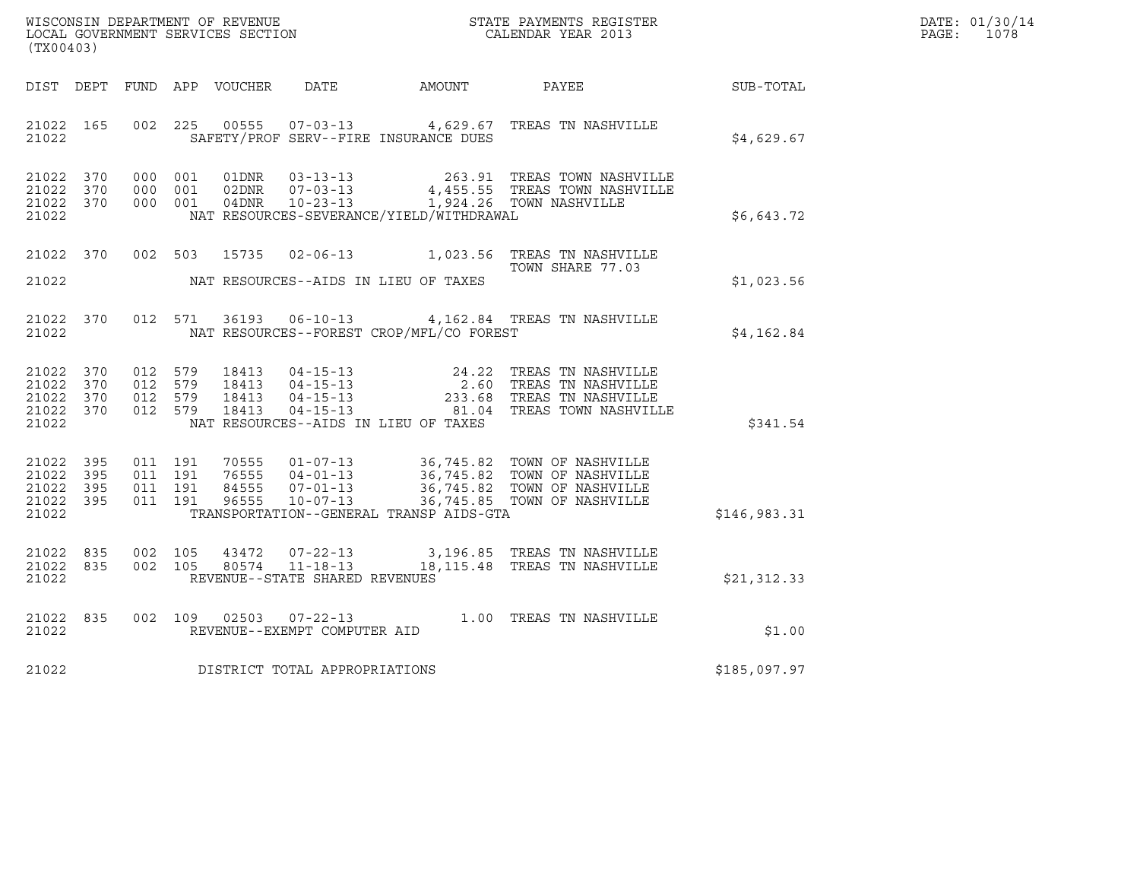| WISCONSIN DEPARTMENT OF REVENUE   | STATE PAYMENTS REGISTER | DATE: 01/30/14 |
|-----------------------------------|-------------------------|----------------|
| LOCAL GOVERNMENT SERVICES SECTION | CALENDAR YEAR 2013      | 1078<br>PAGE:  |

| (TX00403)                                                 |  |  |  |  |                                     |                                            |                                                                                                                                                                                                                      |              | DATE: 01/30/14<br>PAGE: 1078 |
|-----------------------------------------------------------|--|--|--|--|-------------------------------------|--------------------------------------------|----------------------------------------------------------------------------------------------------------------------------------------------------------------------------------------------------------------------|--------------|------------------------------|
|                                                           |  |  |  |  |                                     |                                            | DIST DEPT FUND APP VOUCHER DATE AMOUNT PAYEE SUB-TOTAL                                                                                                                                                               |              |                              |
| 21022                                                     |  |  |  |  |                                     | SAFETY/PROF SERV--FIRE INSURANCE DUES      | 21022 165 002 225 00555 07-03-13 4,629.67 TREAS TN NASHVILLE                                                                                                                                                         | \$4,629.67   |                              |
| 21022 370<br>21022 370<br>21022 370<br>21022              |  |  |  |  |                                     | NAT RESOURCES-SEVERANCE/YIELD/WITHDRAWAL   | 000 001 01DNR 03-13-13 263.91 TREAS TOWN NASHVILLE<br>000 001 02DNR 07-03-13 4,455.55 TREAS TOWN NASHVILLE<br>000 001 04DNR 10-23-13 1,924.26 TOWN NASHVILLE                                                         | \$6,643.72   |                              |
|                                                           |  |  |  |  |                                     | 21022 MAT RESOURCES--AIDS IN LIEU OF TAXES | 21022 370 002 503 15735 02-06-13 1,023.56 TREAS TN NASHVILLE<br>TOWN SHARE 77.03                                                                                                                                     | \$1,023.56   |                              |
| 21022 370<br>21022                                        |  |  |  |  |                                     | NAT RESOURCES--FOREST CROP/MFL/CO FOREST   | 012 571 36193 06-10-13 4,162.84 TREAS TN NASHVILLE                                                                                                                                                                   | \$4,162.84   |                              |
| 21022 370<br>21022 370<br>21022 370<br>21022 370<br>21022 |  |  |  |  |                                     | NAT RESOURCES--AIDS IN LIEU OF TAXES       | 012 579 18413 04-15-13 24.22 TREAS TN NASHVILLE<br>012 579 18413 04-15-13 2.60 TREAS TN NASHVILLE<br>012 579 18413 04-15-13 233.68 TREAS TN NASHVILLE<br>012 579 18413 04-15-13 233.68 TREAS TOWN NASHVILLE          | \$341.54     |                              |
| 21022 395<br>21022 395<br>21022 395<br>21022 395<br>21022 |  |  |  |  |                                     | TRANSPORTATION--GENERAL TRANSP AIDS-GTA    | 011 191 70555 01-07-13 36,745.82 TOWN OF NASHVILLE<br>011 191 76555 04-01-13 36,745.82 TOWN OF NASHVILLE<br>011 191 84555 07-01-13 36,745.82 TOWN OF NASHVILLE<br>011 191 96555 10-07-13 36,745.85 TOWN OF NASHVILLE | \$146,983.31 |                              |
| 21022 835<br>21022 835<br>21022                           |  |  |  |  | REVENUE--STATE SHARED REVENUES      |                                            | 002 105 43472 07-22-13 3,196.85 TREAS TN NASHVILLE<br>002 105 80574 11-18-13 18,115.48 TREAS TN NASHVILLE                                                                                                            | \$21,312.33  |                              |
| 21022 835<br>21022                                        |  |  |  |  | REVENUE--EXEMPT COMPUTER AID        |                                            | 002 109 02503 07-22-13 1.00 TREAS TN NASHVILLE                                                                                                                                                                       | \$1.00       |                              |
|                                                           |  |  |  |  | 21022 DISTRICT TOTAL APPROPRIATIONS |                                            |                                                                                                                                                                                                                      | \$185,097.97 |                              |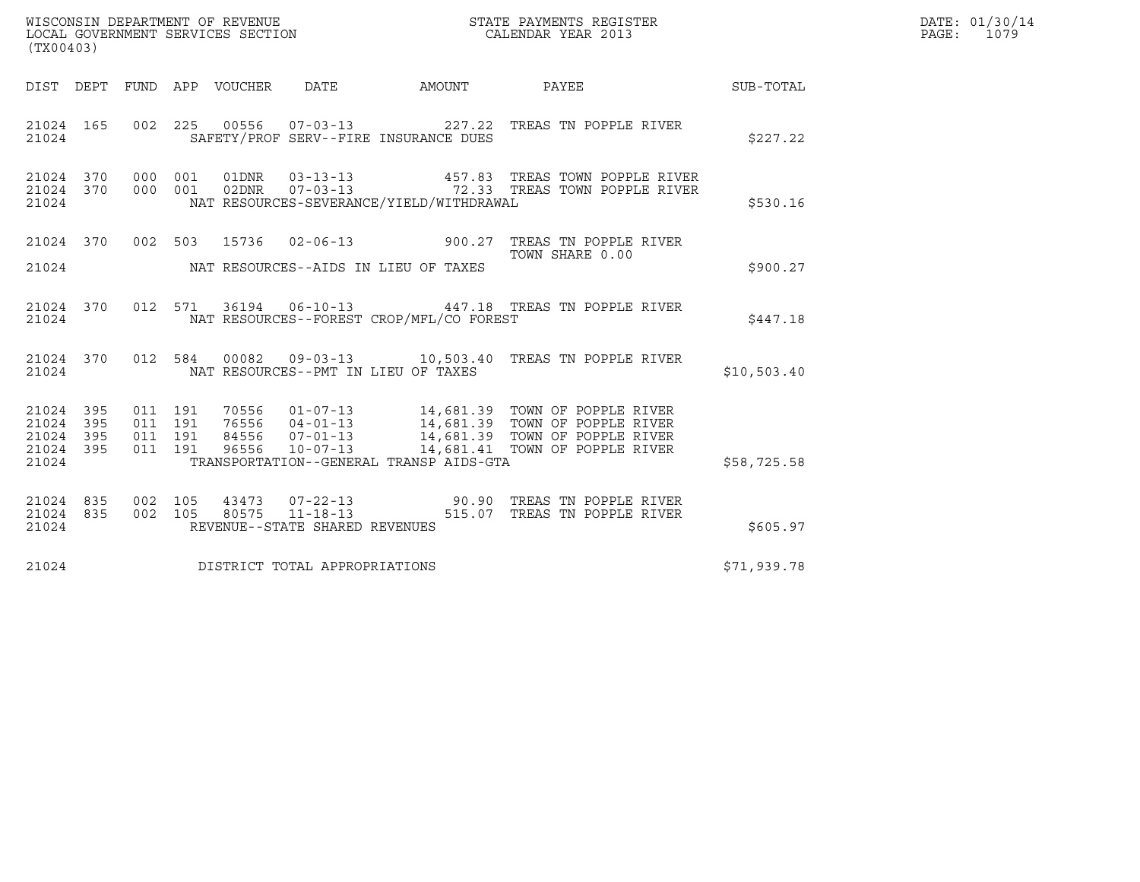| WISCONSIN DEPARTMENT OF REVENUE   | STATE PAYMENTS REGISTER | DATE: 01/30/14 |
|-----------------------------------|-------------------------|----------------|
| LOCAL GOVERNMENT SERVICES SECTION | CALENDAR YEAR 2013      | 1079<br>PAGE:  |

| (TX00403)                                        |  |  |  |  |                                      | WISCONSIN DEPARTMENT OF REVENUE<br>LOCAL GOVERNMENT SERVICES SECTION TERMS OF CALENDAR YEAR 2013 |                                                                                                                                                                                                                                                                                   |             | DATE: 01/30/14<br>PAGE: 1079 |
|--------------------------------------------------|--|--|--|--|--------------------------------------|--------------------------------------------------------------------------------------------------|-----------------------------------------------------------------------------------------------------------------------------------------------------------------------------------------------------------------------------------------------------------------------------------|-------------|------------------------------|
|                                                  |  |  |  |  |                                      |                                                                                                  | DIST DEPT FUND APP VOUCHER DATE AMOUNT PAYEE TO SUB-TOTAL                                                                                                                                                                                                                         |             |                              |
| 21024                                            |  |  |  |  |                                      | SAFETY/PROF SERV--FIRE INSURANCE DUES                                                            | 21024 165 002 225 00556 07-03-13 227.22 TREAS TN POPPLE RIVER                                                                                                                                                                                                                     | \$227.22    |                              |
|                                                  |  |  |  |  |                                      | 21024 NAT RESOURCES-SEVERANCE/YIELD/WITHDRAWAL                                                   | $\begin{array}{cccccccc} 21024 & 370 & 000 & 001 & 01 \text{DNR} & 03-13-13 & & 457.83 & \text{TREAS TOWN POPPLE RIVER} \\ 21024 & 370 & 000 & 001 & 02 \text{DNR} & 07-03-13 & & 72.33 & \text{TREAS TOWN POPPLE RIVER} \end{array}$                                             | \$530.16    |                              |
|                                                  |  |  |  |  |                                      | 21024 NAT RESOURCES--AIDS IN LIEU OF TAXES                                                       | 21024 370 002 503 15736 02-06-13 900.27 TREAS TN POPPLE RIVER                                                                                                                                                                                                                     | \$900.27    |                              |
|                                                  |  |  |  |  |                                      | 21024 NAT RESOURCES--FOREST CROP/MFL/CO FOREST                                                   | 21024 370 012 571 36194 06-10-13 447.18 TREAS TN POPPLE RIVER                                                                                                                                                                                                                     | \$447.18    |                              |
|                                                  |  |  |  |  |                                      |                                                                                                  | 21024 370 012 584 00082 09-03-13 10,503.40 TREAS TN POPPLE RIVER<br>21024 NAT RESOURCES--PMT IN LIEU OF TAXES                                                                                                                                                                     | \$10,503.40 |                              |
| 21024 395<br>21024 395<br>21024 395<br>21024 395 |  |  |  |  |                                      |                                                                                                  | 011 191 70556 01-07-13 14,681.39 TOWN OF POPPLE RIVER<br>011 191 76556 04-01-13 14,681.39 TOWN OF POPPLE RIVER<br>011 191 84556 07-01-13 14,681.39 TOWN OF POPPLE RIVER<br>011 191 96556 10-07-13 14,681.41 TOWN OF POPPLE RIVER<br>21024 TRANSPORTATION--GENERAL TRANSP AIDS-GTA | \$58,725.58 |                              |
| 21024 835<br>21024 835                           |  |  |  |  | 21024 REVENUE--STATE SHARED REVENUES |                                                                                                  | 002 105 43473 07-22-13 90.90 TREAS TN POPPLE RIVER<br>002 105 80575 11-18-13 515.07 TREAS TN POPPLE RIVER                                                                                                                                                                         | \$605.97    |                              |
|                                                  |  |  |  |  | 21024 DISTRICT TOTAL APPROPRIATIONS  |                                                                                                  |                                                                                                                                                                                                                                                                                   | \$71,939.78 |                              |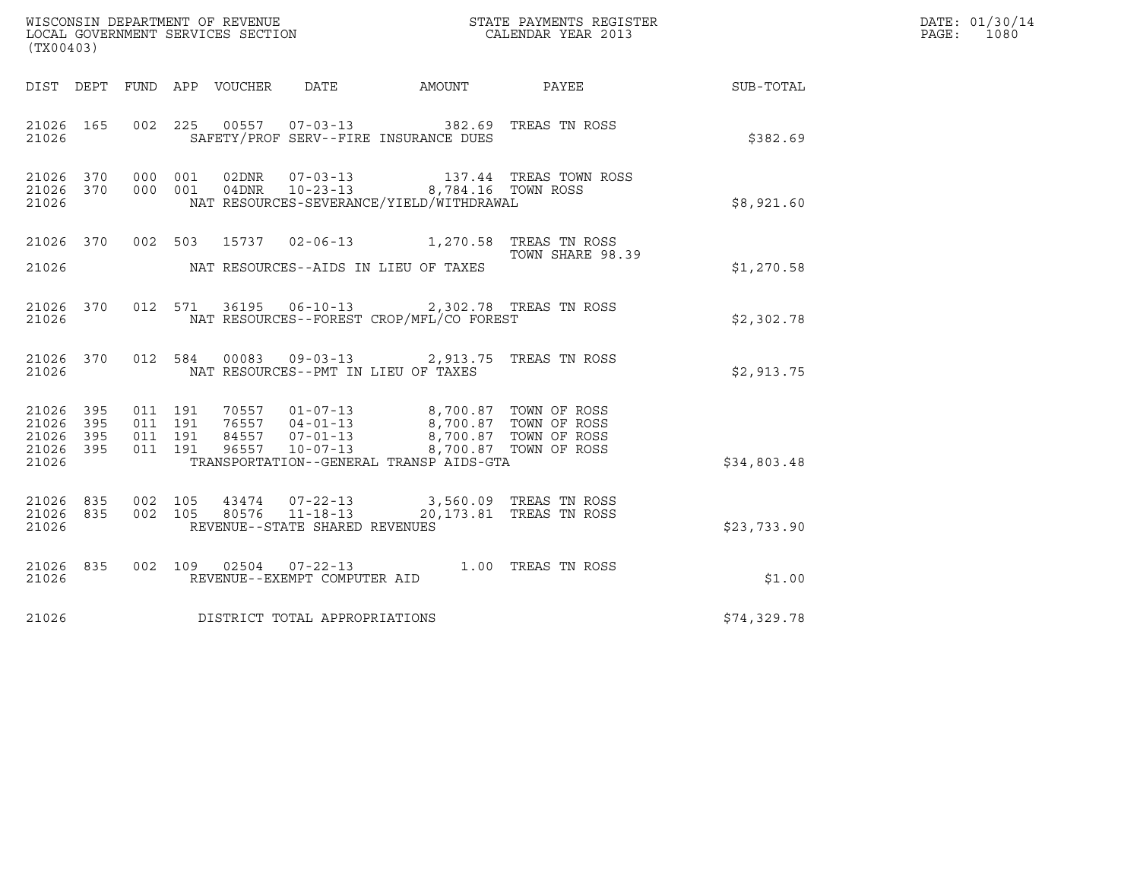|                                                       |     |                               |         |                                 |                                                  |                                                                                           |                                                               |             | DATE: 01/30/14           |
|-------------------------------------------------------|-----|-------------------------------|---------|---------------------------------|--------------------------------------------------|-------------------------------------------------------------------------------------------|---------------------------------------------------------------|-------------|--------------------------|
| (TX00403)                                             |     |                               |         |                                 |                                                  |                                                                                           |                                                               |             | $\mathtt{PAGE:}$<br>1080 |
|                                                       |     |                               |         | DIST DEPT FUND APP VOUCHER DATE |                                                  | AMOUNT                                                                                    | PAYEE                                                         | SUB-TOTAL   |                          |
| 21026 165<br>21026                                    |     |                               |         |                                 |                                                  | 002 225 00557 07-03-13 382.69 TREAS TN ROSS<br>SAFETY/PROF SERV--FIRE INSURANCE DUES      |                                                               | \$382.69    |                          |
| 21026 370<br>21026 370<br>21026                       |     | 000 001<br>000 001            |         | 04DNR                           | $10 - 23 - 13$                                   | NAT RESOURCES-SEVERANCE/YIELD/WITHDRAWAL                                                  | 02DNR  07-03-13  137.44 TREAS TOWN ROSS<br>8,784.16 TOWN ROSS | \$8,921.60  |                          |
| 21026 370<br>21026                                    |     |                               |         |                                 |                                                  | 002 503 15737 02-06-13 1,270.58 TREAS TN ROSS<br>NAT RESOURCES--AIDS IN LIEU OF TAXES     | TOWN SHARE 98.39                                              | \$1,270.58  |                          |
| 21026 370<br>21026                                    |     |                               |         |                                 |                                                  | 012 571 36195 06-10-13 2,302.78 TREAS TN ROSS<br>NAT RESOURCES--FOREST CROP/MFL/CO FOREST |                                                               | \$2,302.78  |                          |
| 21026 370<br>21026                                    |     |                               |         |                                 | NAT RESOURCES--PMT IN LIEU OF TAXES              | 012 584 00083 09-03-13 2,913.75 TREAS TN ROSS                                             |                                                               | \$2,913.75  |                          |
| 21026 395<br>21026 395<br>21026<br>21026 395<br>21026 | 395 | 011 191<br>011 191<br>011 191 | 011 191 |                                 |                                                  | TRANSPORTATION--GENERAL TRANSP AIDS-GTA                                                   |                                                               | \$34,803.48 |                          |
| 21026 835<br>21026 835<br>21026                       |     | 002 105<br>002 105            |         | 80576                           | $11 - 18 - 13$<br>REVENUE--STATE SHARED REVENUES | 43474  07-22-13  3,560.09  TREAS TN ROSS                                                  | 20,173.81 TREAS TN ROSS                                       | \$23,733.90 |                          |
| 21026 835<br>21026                                    |     |                               |         |                                 | REVENUE--EXEMPT COMPUTER AID                     | 002 109 02504 07-22-13 1.00 TREAS TN ROSS                                                 |                                                               | \$1.00      |                          |
| 21026                                                 |     |                               |         |                                 | DISTRICT TOTAL APPROPRIATIONS                    |                                                                                           |                                                               | \$74,329.78 |                          |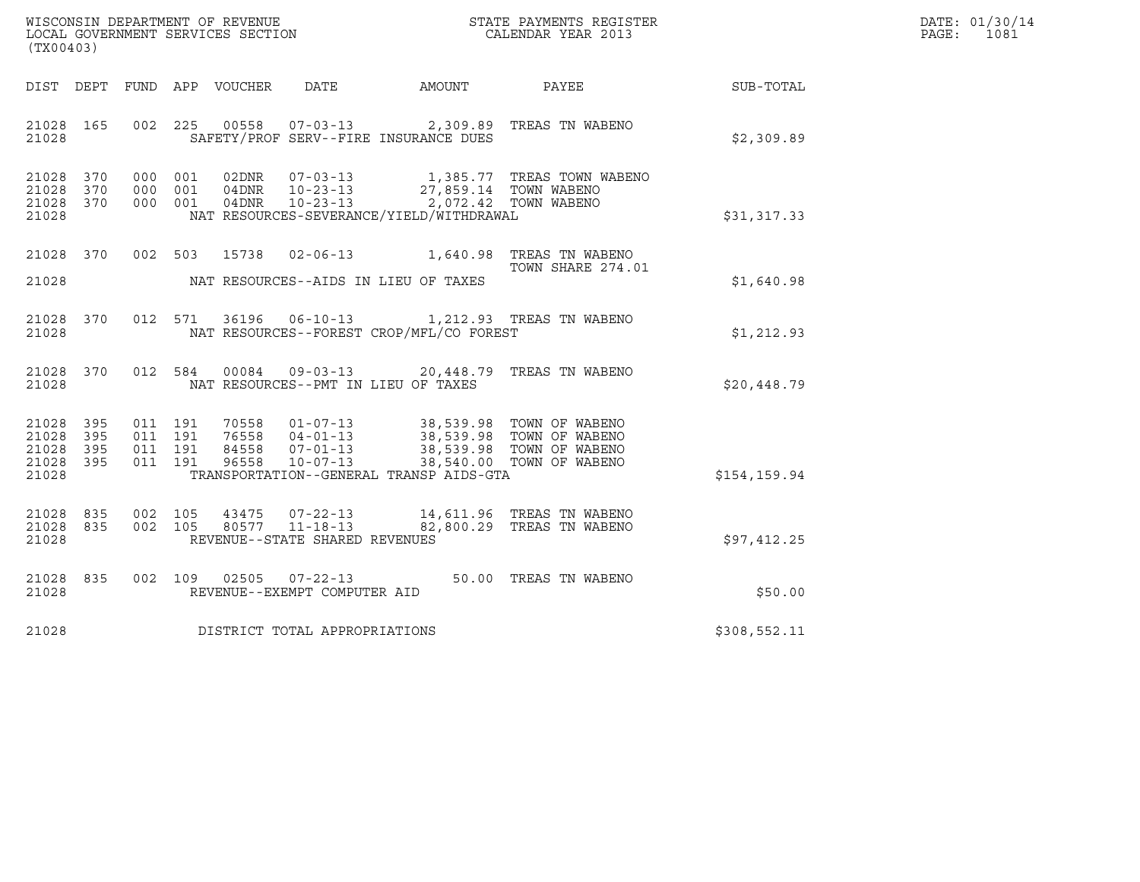| WISCONSIN DEPARTMENT OF REVENUE   | STATE PAYMENTS REGISTER | DATE: 01/30/14 |
|-----------------------------------|-------------------------|----------------|
| LOCAL GOVERNMENT SERVICES SECTION | CALENDAR YEAR 2013      | 1081<br>PAGE : |

| WISCONSIN DEPARTMENT OF REVENUE<br>LOCAL GOVERNMENT SERVICES SECTION<br>(TYO0403)<br>(TX00403) |  |  |                    |                |                                                                    |                                          |                                                                                                                                                                                                                                                                                                                                                                       |              | DATE: 01/30/14<br>$\mathtt{PAGE}$ :<br>1081 |
|------------------------------------------------------------------------------------------------|--|--|--------------------|----------------|--------------------------------------------------------------------|------------------------------------------|-----------------------------------------------------------------------------------------------------------------------------------------------------------------------------------------------------------------------------------------------------------------------------------------------------------------------------------------------------------------------|--------------|---------------------------------------------|
| DIST DEPT                                                                                      |  |  |                    |                |                                                                    |                                          |                                                                                                                                                                                                                                                                                                                                                                       | SUB-TOTAL    |                                             |
| 21028 165<br>21028                                                                             |  |  |                    |                |                                                                    | SAFETY/PROF SERV--FIRE INSURANCE DUES    | 002 225 00558 07-03-13 2,309.89 TREAS TN WABENO                                                                                                                                                                                                                                                                                                                       | \$2,309.89   |                                             |
| 21028 370<br>21028 370<br>21028 370<br>21028                                                   |  |  |                    |                | 000 001 04DNR 10-23-13                                             | NAT RESOURCES-SEVERANCE/YIELD/WITHDRAWAL | 000 001 02DNR 07-03-13 1,385.77 TREAS TOWN WABENO<br>000 001 04DNR 10-23-13 27,859.14 TOWN WABENO<br>2,072.42 TOWN WABENO                                                                                                                                                                                                                                             | \$31,317.33  |                                             |
| 21028 370<br>21028                                                                             |  |  |                    |                |                                                                    | NAT RESOURCES--AIDS IN LIEU OF TAXES     | 002 503 15738 02-06-13 1,640.98 TREAS TN WABENO<br>TOWN SHARE 274.01                                                                                                                                                                                                                                                                                                  | \$1,640.98   |                                             |
| 21028 370<br>21028                                                                             |  |  |                    |                |                                                                    | NAT RESOURCES--FOREST CROP/MFL/CO FOREST | 012 571 36196 06-10-13 1,212.93 TREAS TN WABENO                                                                                                                                                                                                                                                                                                                       | \$1,212.93   |                                             |
| 21028 370<br>21028                                                                             |  |  |                    | 012 584 00084  |                                                                    | NAT RESOURCES--PMT IN LIEU OF TAXES      | 09-03-13 20,448.79 TREAS TN WABENO                                                                                                                                                                                                                                                                                                                                    | \$20,448.79  |                                             |
| 21028 395<br>21028 395<br>21028 395<br>21028 395<br>21028                                      |  |  |                    |                |                                                                    | TRANSPORTATION--GENERAL TRANSP AIDS-GTA  | $\begin{array}{cccc} 011 & 191 & 70558 & 01\text{--}07\text{--}13 & 38,539.98 & \text{TOWN OF WABENO} \\ 011 & 191 & 76558 & 04\text{--}01\text{--}13 & 38,539.98 & \text{TOWN OF WABENO} \\ 011 & 191 & 84558 & 07\text{--}01\text{--}13 & 38,539.98 & \text{TOWN OF WABENO} \\ 011 & 191 & 96558 & 10\text{--}07\text{--}13 & 38,540.0$<br>38,540.00 TOWN OF WABENO | \$154,159.94 |                                             |
| 21028 835<br>21028 835<br>21028                                                                |  |  | 002 105<br>002 105 | 43475<br>80577 | $07 - 22 - 13$<br>$11 - 18 - 13$<br>REVENUE--STATE SHARED REVENUES |                                          | 14,611.96 TREAS TN WABENO<br>82,800.29 TREAS TN WABENO                                                                                                                                                                                                                                                                                                                | \$97,412.25  |                                             |
| 21028 835<br>21028                                                                             |  |  |                    |                | 002 109 02505 07-22-13<br>REVENUE--EXEMPT COMPUTER AID             |                                          | 50.00 TREAS TN WABENO                                                                                                                                                                                                                                                                                                                                                 | \$50.00      |                                             |
| 21028                                                                                          |  |  |                    |                | DISTRICT TOTAL APPROPRIATIONS                                      |                                          |                                                                                                                                                                                                                                                                                                                                                                       | \$308,552.11 |                                             |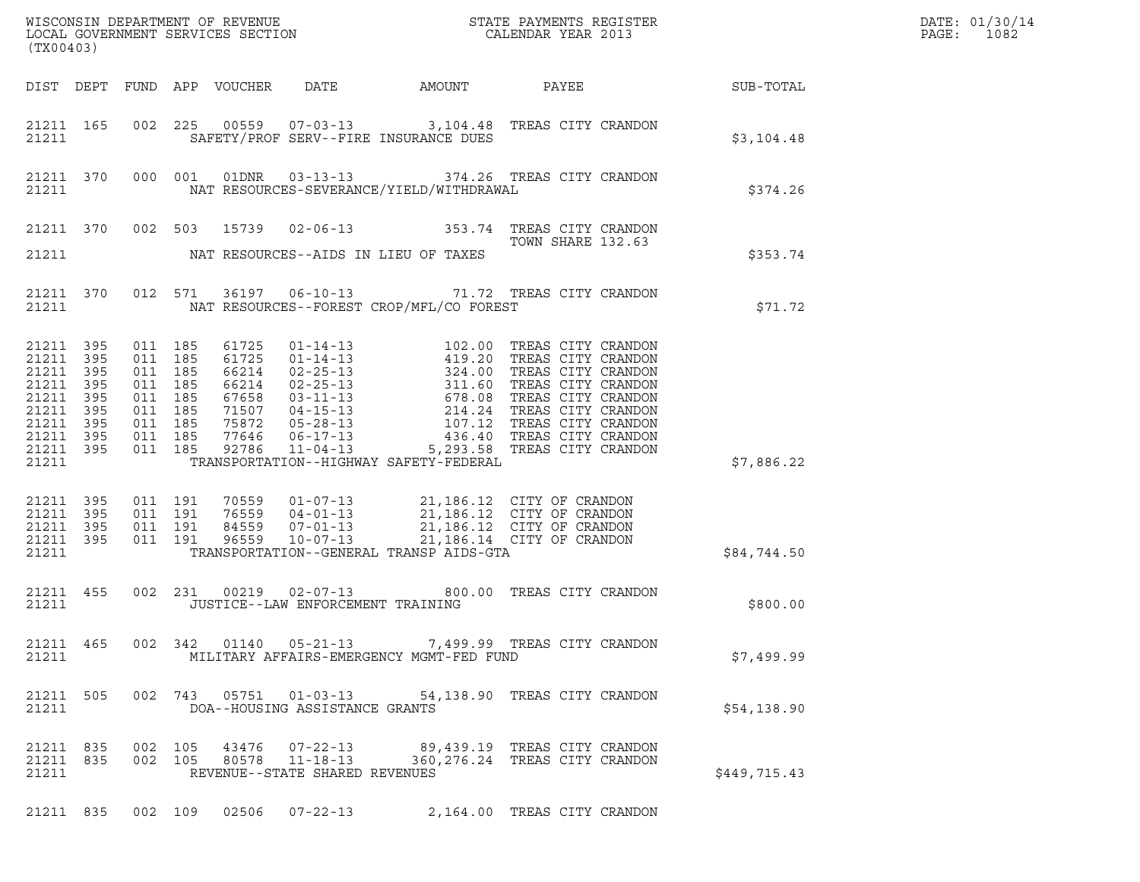| (TX00403)                                                                             |                                                     |                                                                                      |                    |       |                                                                    |                                            |                                                                                                                                                                                          |              | DATE: 01/30/14<br>PAGE:<br>1082 |
|---------------------------------------------------------------------------------------|-----------------------------------------------------|--------------------------------------------------------------------------------------|--------------------|-------|--------------------------------------------------------------------|--------------------------------------------|------------------------------------------------------------------------------------------------------------------------------------------------------------------------------------------|--------------|---------------------------------|
|                                                                                       |                                                     |                                                                                      |                    |       |                                                                    |                                            |                                                                                                                                                                                          |              |                                 |
| 21211                                                                                 | 21211 165                                           |                                                                                      |                    |       |                                                                    | SAFETY/PROF SERV--FIRE INSURANCE DUES      | 002 225 00559 07-03-13 3,104.48 TREAS CITY CRANDON                                                                                                                                       | \$3,104.48   |                                 |
| 21211                                                                                 |                                                     |                                                                                      |                    |       |                                                                    | NAT RESOURCES-SEVERANCE/YIELD/WITHDRAWAL   | 21211 370 000 001 01DNR 03-13-13 374.26 TREAS CITY CRANDON                                                                                                                               | \$374.26     |                                 |
|                                                                                       |                                                     |                                                                                      |                    |       |                                                                    |                                            | 21211 370 002 503 15739 02-06-13 353.74 TREAS CITY CRANDON<br>TOWN SHARE 132.63<br>TOWN SHARE 132.63                                                                                     |              |                                 |
|                                                                                       |                                                     |                                                                                      |                    |       |                                                                    | 21211 MAT RESOURCES--AIDS IN LIEU OF TAXES |                                                                                                                                                                                          | \$353.74     |                                 |
|                                                                                       |                                                     | 21211                                                                                |                    |       |                                                                    | NAT RESOURCES--FOREST CROP/MFL/CO FOREST   | 21211 370 012 571 36197 06-10-13 71.72 TREAS CITY CRANDON                                                                                                                                | \$71.72      |                                 |
| 21211<br>21211 395<br>21211<br>21211<br>21211<br>21211<br>21211<br>21211 395<br>21211 | 395<br>395<br>395<br>395<br>395<br>395<br>21211 395 | 011 185<br>011 185<br>011 185<br>011 185<br>011 185<br>011 185<br>011 185<br>011 185 | 011 185            |       |                                                                    | TRANSPORTATION--HIGHWAY SAFETY-FEDERAL     |                                                                                                                                                                                          | \$7,886.22   |                                 |
| 21211<br>21211<br>21211<br>21211 395<br>21211                                         | 395<br>395<br>395                                   | 011 191<br>011 191                                                                   | 011 191<br>011 191 |       |                                                                    | TRANSPORTATION--GENERAL TRANSP AIDS-GTA    | 70559  01-07-13  21,186.12  CITY OF CRANDON<br>76559  04-01-13  21,186.12  CITY OF CRANDON<br>84559  07-01-13  21,186.12  CITY OF CRANDON<br>96559  10-07-13  21,186.14  CITY OF CRANDON | \$84,744.50  |                                 |
| 21211                                                                                 | 21211 455                                           |                                                                                      |                    |       |                                                                    | JUSTICE--LAW ENFORCEMENT TRAINING          | 002 231 00219 02-07-13 800.00 TREAS CITY CRANDON                                                                                                                                         | \$800.00     |                                 |
| 21211 465<br>21211                                                                    |                                                     |                                                                                      |                    |       |                                                                    | MILITARY AFFAIRS-EMERGENCY MGMT-FED FUND   | 002 342 01140 05-21-13 7,499.99 TREAS CITY CRANDON                                                                                                                                       | \$7,499.99   |                                 |
| 21211 505<br>21211                                                                    |                                                     |                                                                                      |                    |       | DOA--HOUSING ASSISTANCE GRANTS                                     |                                            | 002 743 05751 01-03-13 54,138.90 TREAS CITY CRANDON                                                                                                                                      | \$54,138.90  |                                 |
| 21211 835<br>21211 835<br>21211                                                       |                                                     |                                                                                      | 002 105<br>002 105 | 80578 | 43476 07-22-13<br>$11 - 18 - 13$<br>REVENUE--STATE SHARED REVENUES |                                            | 89,439.19 TREAS CITY CRANDON<br>360, 276.24 TREAS CITY CRANDON                                                                                                                           | \$449,715.43 |                                 |
|                                                                                       |                                                     |                                                                                      |                    |       |                                                                    |                                            | 21211 835 002 109 02506 07-22-13 2,164.00 TREAS CITY CRANDON                                                                                                                             |              |                                 |